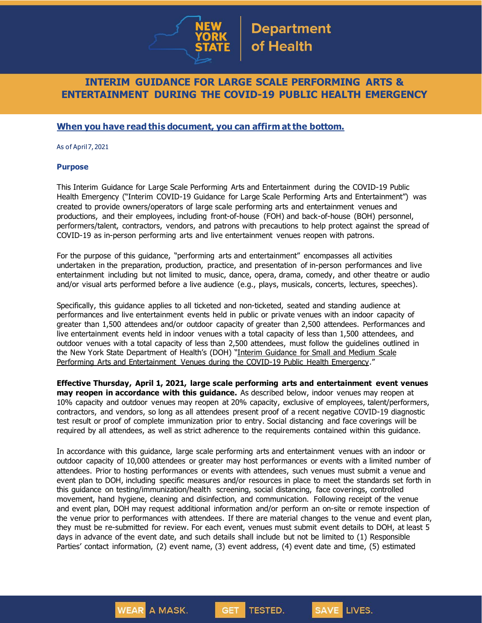

## **INTERIM GUIDANCE FOR LARGE SCALE PERFORMING ARTS & ENTERTAINMENT DURING THE COVID-19 PUBLIC HEALTH EMERGENCY**

## **When you have read this document, you can affirm at the bottom.**

As of April 7, 2021

#### **Purpose**

This Interim Guidance for Large Scale Performing Arts and Entertainment during the COVID-19 Public Health Emergency ("Interim COVID-19 Guidance for Large Scale Performing Arts and Entertainment") was created to provide owners/operators of large scale performing arts and entertainment venues and productions, and their employees, including front-of-house (FOH) and back-of-house (BOH) personnel, performers/talent, contractors, vendors, and patrons with precautions to help protect against the spread of COVID-19 as in-person performing arts and live entertainment venues reopen with patrons.

For the purpose of this guidance, "performing arts and entertainment" encompasses all activities undertaken in the preparation, production, practice, and presentation of in-person performances and live entertainment including but not limited to music, dance, opera, drama, comedy, and other theatre or audio and/or visual arts performed before a live audience (e.g., plays, musicals, concerts, lectures, speeches).

Specifically, this guidance applies to all ticketed and non-ticketed, seated and standing audience at performances and live entertainment events held in public or private venues with an indoor capacity of greater than 1,500 attendees and/or outdoor capacity of greater than 2,500 attendees. Performances and live entertainment events held in indoor venues with a total capacity of less than 1,500 attendees, and outdoor venues with a total capacity of less than 2,500 attendees, must follow the guidelines outlined in the New York State Department of Health's (DOH) "Interim [Guidance](https://www.governor.ny.gov/sites/governor.ny.gov/files/atoms/files/Small_and_Medium_Performing_Arts_Detailed_Guidance.pdf) for Small and Medium Scale Performing Arts and [Entertainment](https://www.governor.ny.gov/sites/governor.ny.gov/files/atoms/files/Small_and_Medium_Performing_Arts_Detailed_Guidance.pdf) Venues during the COVID-19 Public Health Emergency."

**Effective Thursday, April 1, 2021, large scale performing arts and entertainment event venues may reopen in accordance with this guidance.** As described below, indoor venues may reopen at 10% capacity and outdoor venues may reopen at 20% capacity, exclusive of employees, talent/performers, contractors, and vendors, so long as all attendees present proof of a recent negative COVID-19 diagnostic test result or proof of complete immunization prior to entry. Social distancing and face coverings will be required by all attendees, as well as strict adherence to the requirements contained within this guidance.

In accordance with this guidance, large scale performing arts and entertainment venues with an indoor or outdoor capacity of 10,000 attendees or greater may host performances or events with a limited number of attendees. Prior to hosting performances or events with attendees, such venues must submit a venue and event plan to DOH, including specific measures and/or resources in place to meet the standards set forth in this guidance on testing/immunization/health screening, social distancing, face coverings, controlled movement, hand hygiene, cleaning and disinfection, and communication. Following receipt of the venue and event plan, DOH may request additional information and/or perform an on-site or remote inspection of the venue prior to performances with attendees. If there are material changes to the venue and event plan, they must be re-submitted for review. For each event, venues must submit event details to DOH, at least 5 days in advance of the event date, and such details shall include but not be limited to (1) Responsible Parties' contact information, (2) event name, (3) event address, (4) event date and time, (5) estimated

**TESTED.** 

**GET** 

LIVES.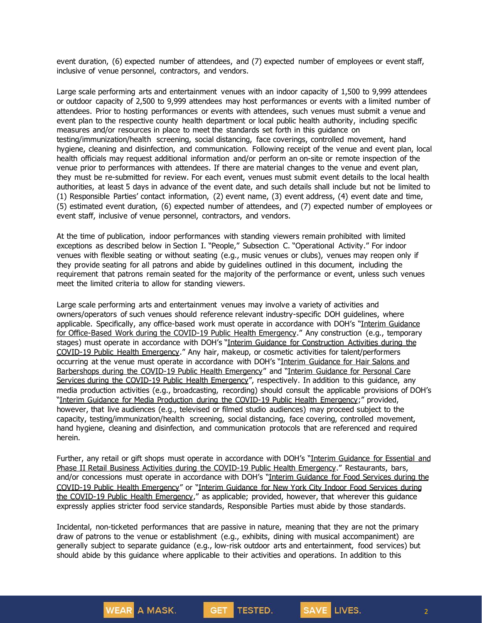event duration, (6) expected number of attendees, and (7) expected number of employees or event staff, inclusive of venue personnel, contractors, and vendors.

Large scale performing arts and entertainment venues with an indoor capacity of 1,500 to 9,999 attendees or outdoor capacity of 2,500 to 9,999 attendees may host performances or events with a limited number of attendees. Prior to hosting performances or events with attendees, such venues must submit a venue and event plan to the respective county health department or local public health authority, including specific measures and/or resources in place to meet the standards set forth in this guidance on testing/immunization/health screening, social distancing, face coverings, controlled movement, hand hygiene, cleaning and disinfection, and communication. Following receipt of the venue and event plan, local health officials may request additional information and/or perform an on-site or remote inspection of the venue prior to performances with attendees. If there are material changes to the venue and event plan, they must be re-submitted for review. For each event, venues must submit event details to the local health authorities, at least 5 days in advance of the event date, and such details shall include but not be limited to (1) Responsible Parties' contact information, (2) event name, (3) event address, (4) event date and time, (5) estimated event duration, (6) expected number of attendees, and (7) expected number of employees or event staff, inclusive of venue personnel, contractors, and vendors.

At the time of publication, indoor performances with standing viewers remain prohibited with limited exceptions as described below in Section I. "People," Subsection C. "Operational Activity." For indoor venues with flexible seating or without seating (e.g., music venues or clubs), venues may reopen only if they provide seating for all patrons and abide by guidelines outlined in this document, including the requirement that patrons remain seated for the majority of the performance or event, unless such venues meet the limited criteria to allow for standing viewers.

Large scale performing arts and entertainment venues may involve a variety of activities and owners/operators of such venues should reference relevant industry-specific DOH guidelines, where applicable. Specifically, any office-based work must operate in accordance with DOH's "Interim [Guidance](https://www.governor.ny.gov/sites/governor.ny.gov/files/atoms/files/offices-interim-guidance.pdf) for [Office-Based](https://www.governor.ny.gov/sites/governor.ny.gov/files/atoms/files/offices-interim-guidance.pdf) Work during the COVID-19 Public Health Emergency." Any construction (e.g., temporary stages) must operate in accordance with DOH's "Interim Guidance for [Construction](https://www.governor.ny.gov/sites/governor.ny.gov/files/atoms/files/ConstructionMasterGuidance.pdf) Activities during the COVID-19 Public Health [Emergency](https://www.governor.ny.gov/sites/governor.ny.gov/files/atoms/files/ConstructionMasterGuidance.pdf)." Any hair, makeup, or cosmetic activities for talent/performers occurring at the venue must operate in accordance with DOH's "Interim [Guidance](https://www.governor.ny.gov/sites/governor.ny.gov/files/atoms/files/HairSalonsAndBarbershopMasterGuidance.pdf) for Hair Salons and [Barbershops](https://www.governor.ny.gov/sites/governor.ny.gov/files/atoms/files/HairSalonsAndBarbershopMasterGuidance.pdf) during the COVID-19 Public Health Emergency" and "Interim [Guidance](https://www.governor.ny.gov/sites/governor.ny.gov/files/atoms/files/Personal_Care_Detailed_Guidelines.pdf) for Personal Care Services during the COVID-19 Public Health [Emergency](https://www.governor.ny.gov/sites/governor.ny.gov/files/atoms/files/Personal_Care_Detailed_Guidelines.pdf)", respectively. In addition to this guidance, any media production activities (e.g., broadcasting, recording) should consult the applicable provisions of DOH's "Interim Guidance for Media Production during the COVID-19 Public Health [Emergency;](https://www.governor.ny.gov/sites/governor.ny.gov/files/atoms/files/MediaProduction_MasterGuidance.pdf)" provided, however, that live audiences (e.g., televised or filmed studio audiences) may proceed subject to the capacity, testing/immunization/health screening, social distancing, face covering, controlled movement, hand hygiene, cleaning and disinfection, and communication protocols that are referenced and required herein.

Further, any retail or gift shops must operate in accordance with DOH's "Interim [Guidance](https://www.governor.ny.gov/sites/governor.ny.gov/files/atoms/files/RetailMasterGuidance.pdf) for Essential and Phase II Retail Business Activities during the COVID-19 Public Health [Emergency](https://www.governor.ny.gov/sites/governor.ny.gov/files/atoms/files/RetailMasterGuidance.pdf)." Restaurants, bars, and/or concessions must operate in accordance with DOH's "Interim [Guidance](https://www.governor.ny.gov/sites/governor.ny.gov/files/atoms/files/Indoor_and_Outdoor_Food_Services_Detailed_Guidelines.pdf) for Food Services during the COVID-19 Public Health [Emergency](https://www.governor.ny.gov/sites/governor.ny.gov/files/atoms/files/Indoor_and_Outdoor_Food_Services_Detailed_Guidelines.pdf)" or "Interim [Guidance](https://www.governor.ny.gov/sites/governor.ny.gov/files/atoms/files/NYC_Indoor_Food_Services_Detailed_Guidance.pdf) for New York City Indoor Food Services during the COVID-19 Public Health [Emergency](https://www.governor.ny.gov/sites/governor.ny.gov/files/atoms/files/NYC_Indoor_Food_Services_Detailed_Guidance.pdf)," as applicable; provided, however, that wherever this guidance expressly applies stricter food service standards, Responsible Parties must abide by those standards.

Incidental, non-ticketed performances that are passive in nature, meaning that they are not the primary draw of patrons to the venue or establishment (e.g., exhibits, dining with musical accompaniment) are generally subject to separate guidance (e.g., low-risk outdoor arts and entertainment, food services) but should abide by this guidance where applicable to their activities and operations. In addition to this

TESTED.

SAVE LIVES.

**GET**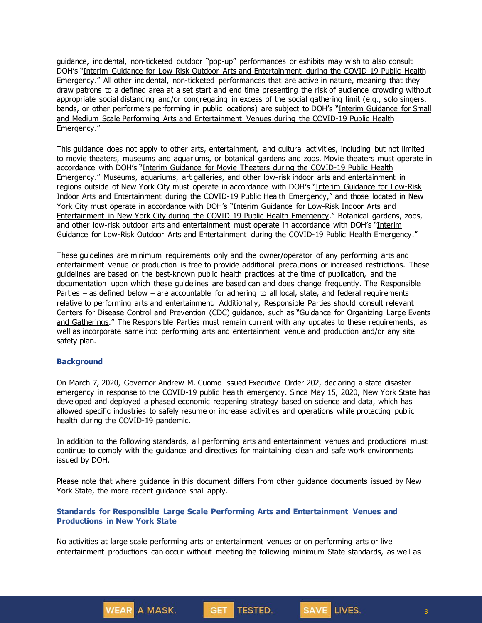guidance, incidental, non-ticketed outdoor "pop-up" performances or exhibits may wish to also consult DOH's "Interim Guidance for Low-Risk Outdoor Arts and [Entertainment](https://www.governor.ny.gov/sites/governor.ny.gov/files/atoms/files/Lowriskoutdoorartsandentertainment-MasterGuidance.pdf) during the COVID-19 Public Health [Emergency](https://www.governor.ny.gov/sites/governor.ny.gov/files/atoms/files/Lowriskoutdoorartsandentertainment-MasterGuidance.pdf)." All other incidental, non-ticketed performances that are active in nature, meaning that they draw patrons to a defined area at a set start and end time presenting the risk of audience crowding without appropriate social distancing and/or congregating in excess of the social gathering limit (e.g., solo singers, bands, or other performers performing in public locations) are subject to DOH's "Interim [Guidance](https://www.governor.ny.gov/sites/governor.ny.gov/files/atoms/files/Small_and_Medium_Performing_Arts_Detailed_Guidance.pdf) for Small and Medium Scale Performing Arts and [Entertainment](https://www.governor.ny.gov/sites/governor.ny.gov/files/atoms/files/Small_and_Medium_Performing_Arts_Detailed_Guidance.pdf) Venues during the COVID-19 Public Health [Emergency](https://www.governor.ny.gov/sites/governor.ny.gov/files/atoms/files/Small_and_Medium_Performing_Arts_Detailed_Guidance.pdf)."

This guidance does not apply to other arts, entertainment, and cultural activities, including but not limited to movie theaters, museums and aquariums, or botanical gardens and zoos. Movie theaters must operate in accordance with DOH's "Interim Guidance for Movie Theaters during the [COVID-19](https://www.governor.ny.gov/sites/governor.ny.gov/files/atoms/files/Movie_Theater_Detailed_Guidelines.pdf) Public Health [Emergency](https://www.governor.ny.gov/sites/governor.ny.gov/files/atoms/files/Movie_Theater_Detailed_Guidelines.pdf)." Museums, aquariums, art galleries, and other low-risk indoor arts and entertainment in regions outside of New York City must operate in accordance with DOH's "Interim [Guidance](https://www.governor.ny.gov/sites/governor.ny.gov/files/atoms/files/Lowriskindoorartsandentertainment-MasterGuidance.pdf) for Low-Risk Indoor Arts and [Entertainment](https://www.governor.ny.gov/sites/governor.ny.gov/files/atoms/files/Lowriskindoorartsandentertainment-MasterGuidance.pdf) during the COVID-19 Public Health Emergency," and those located in New York City must operate in accordance with DOH's "Interim [Guidance](https://www.governor.ny.gov/sites/governor.ny.gov/files/atoms/files/NYC_LowRiskIndoorArtsEntertainmentMasterGuidelines.pdf) for Low-Risk Indoor Arts and [Entertainment](https://www.governor.ny.gov/sites/governor.ny.gov/files/atoms/files/NYC_LowRiskIndoorArtsEntertainmentMasterGuidelines.pdf) in New York City during the COVID-19 Public Health Emergency." Botanical gardens, zoos, and other low-risk outdoor arts and entertainment must operate in accordance with DOH's "[Interim](https://www.governor.ny.gov/sites/governor.ny.gov/files/atoms/files/Lowriskoutdoorartsandentertainment-MasterGuidance.pdf) Guidance for Low-Risk Outdoor Arts and [Entertainment](https://www.governor.ny.gov/sites/governor.ny.gov/files/atoms/files/Lowriskoutdoorartsandentertainment-MasterGuidance.pdf) during the COVID-19 Public Health Emergency."

These guidelines are minimum requirements only and the owner/operator of any performing arts and entertainment venue or production is free to provide additional precautions or increased restrictions. These guidelines are based on the best-known public health practices at the time of publication, and the documentation upon which these guidelines are based can and does change frequently. The Responsible Parties – as defined below – are accountable for adhering to all local, state, and federal requirements relative to performing arts and entertainment. Additionally, Responsible Parties should consult relevant Centers for Disease Control and Prevention (CDC) guidance, such as "Guidance for [Organizing](https://www.cdc.gov/coronavirus/2019-ncov/community/large-events/considerations-for-events-gatherings.html) Large Events and [Gatherings.](https://www.cdc.gov/coronavirus/2019-ncov/community/large-events/considerations-for-events-gatherings.html)" The Responsible Parties must remain current with any updates to these requirements, as well as incorporate same into performing arts and entertainment venue and production and/or any site safety plan.

#### **Background**

On March 7, 2020, Governor Andrew M. Cuomo issued [Executive](https://www.governor.ny.gov/news/no-202-declaring-disaster-emergency-state-new-york) Order 202, declaring a state disaster emergency in response to the COVID-19 public health emergency. Since May 15, 2020, New York State has developed and deployed a phased economic reopening strategy based on science and data, which has allowed specific industries to safely resume or increase activities and operations while protecting public health during the COVID-19 pandemic.

In addition to the following standards, all performing arts and entertainment venues and productions must continue to comply with the guidance and directives for maintaining clean and safe work environments issued by DOH.

Please note that where guidance in this document differs from other guidance documents issued by New York State, the more recent guidance shall apply.

#### **Standards for Responsible Large Scale Performing Arts and Entertainment Venues and Productions in New York State**

**GET** 

**WEAR A MASK.** 

No activities at large scale performing arts or entertainment venues or on performing arts or live entertainment productions can occur without meeting the following minimum State standards, as well as

TESTED.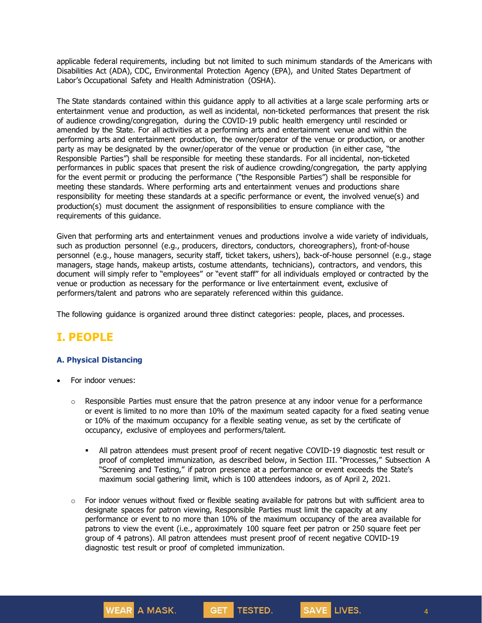applicable federal requirements, including but not limited to such minimum standards of the Americans with Disabilities Act (ADA), CDC, Environmental Protection Agency (EPA), and United States Department of Labor's Occupational Safety and Health Administration (OSHA).

The State standards contained within this guidance apply to all activities at a large scale performing arts or entertainment venue and production, as well as incidental, non-ticketed performances that present the risk of audience crowding/congregation, during the COVID-19 public health emergency until rescinded or amended by the State. For all activities at a performing arts and entertainment venue and within the performing arts and entertainment production, the owner/operator of the venue or production, or another party as may be designated by the owner/operator of the venue or production (in either case, "the Responsible Parties") shall be responsible for meeting these standards. For all incidental, non-ticketed performances in public spaces that present the risk of audience crowding/congregation, the party applying for the event permit or producing the performance ("the Responsible Parties") shall be responsible for meeting these standards. Where performing arts and entertainment venues and productions share responsibility for meeting these standards at a specific performance or event, the involved venue(s) and production(s) must document the assignment of responsibilities to ensure compliance with the requirements of this guidance.

Given that performing arts and entertainment venues and productions involve a wide variety of individuals, such as production personnel (e.g., producers, directors, conductors, choreographers), front-of-house personnel (e.g., house managers, security staff, ticket takers, ushers), back-of-house personnel (e.g., stage managers, stage hands, makeup artists, costume attendants, technicians), contractors, and vendors, this document will simply refer to "employees" or "event staff" for all individuals employed or contracted by the venue or production as necessary for the performance or live entertainment event, exclusive of performers/talent and patrons who are separately referenced within this guidance.

The following guidance is organized around three distinct categories: people, places, and processes.

## **I. PEOPLE**

### **A. Physical Distancing**

• For indoor venues:

**WEAR** A MASK.

- $\circ$  Responsible Parties must ensure that the patron presence at any indoor venue for a performance or event is limited to no more than 10% of the maximum seated capacity for a fixed seating venue or 10% of the maximum occupancy for a flexible seating venue, as set by the certificate of occupancy, exclusive of employees and performers/talent.
	- **EXECT** All patron attendees must present proof of recent negative COVID-19 diagnostic test result or proof of completed immunization, as described below, in Section III. "Processes," Subsection A "Screening and Testing," if patron presence at a performance or event exceeds the State's maximum social gathering limit, which is 100 attendees indoors, as of April 2, 2021.
- $\circ$  For indoor venues without fixed or flexible seating available for patrons but with sufficient area to designate spaces for patron viewing, Responsible Parties must limit the capacity at any performance or event to no more than 10% of the maximum occupancy of the area available for patrons to view the event (i.e., approximately 100 square feet per patron or 250 square feet per group of 4 patrons). All patron attendees must present proof of recent negative COVID-19 diagnostic test result or proof of completed immunization.

GET TESTED.

4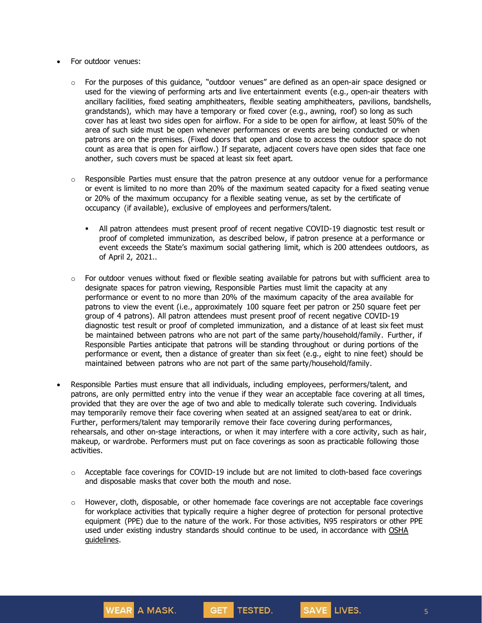- For outdoor venues:
	- o For the purposes of this guidance, "outdoor venues" are defined as an open-air space designed or used for the viewing of performing arts and live entertainment events (e.g., open-air theaters with ancillary facilities, fixed seating amphitheaters, flexible seating amphitheaters, pavilions, bandshells, grandstands), which may have a temporary or fixed cover (e.g., awning, roof) so long as such cover has at least two sides open for airflow. For a side to be open for airflow, at least 50% of the area of such side must be open whenever performances or events are being conducted or when patrons are on the premises. (Fixed doors that open and close to access the outdoor space do not count as area that is open for airflow.) If separate, adjacent covers have open sides that face one another, such covers must be spaced at least six feet apart.
	- $\circ$  Responsible Parties must ensure that the patron presence at any outdoor venue for a performance or event is limited to no more than 20% of the maximum seated capacity for a fixed seating venue or 20% of the maximum occupancy for a flexible seating venue, as set by the certificate of occupancy (if available), exclusive of employees and performers/talent.
		- All patron attendees must present proof of recent negative COVID-19 diagnostic test result or proof of completed immunization, as described below, if patron presence at a performance or event exceeds the State's maximum social gathering limit, which is 200 attendees outdoors, as of April 2, 2021..
	- $\circ$  For outdoor venues without fixed or flexible seating available for patrons but with sufficient area to designate spaces for patron viewing, Responsible Parties must limit the capacity at any performance or event to no more than 20% of the maximum capacity of the area available for patrons to view the event (i.e., approximately 100 square feet per patron or 250 square feet per group of 4 patrons). All patron attendees must present proof of recent negative COVID-19 diagnostic test result or proof of completed immunization, and a distance of at least six feet must be maintained between patrons who are not part of the same party/household/family. Further, if Responsible Parties anticipate that patrons will be standing throughout or during portions of the performance or event, then a distance of greater than six feet (e.g., eight to nine feet) should be maintained between patrons who are not part of the same party/household/family.
- Responsible Parties must ensure that all individuals, including employees, performers/talent, and patrons, are only permitted entry into the venue if they wear an acceptable face covering at all times, provided that they are over the age of two and able to medically tolerate such covering. Individuals may temporarily remove their face covering when seated at an assigned seat/area to eat or drink. Further, performers/talent may temporarily remove their face covering during performances, rehearsals, and other on-stage interactions, or when it may interfere with a core activity, such as hair, makeup, or wardrobe. Performers must put on face coverings as soon as practicable following those activities.
	- $\circ$  Acceptable face coverings for COVID-19 include but are not limited to cloth-based face coverings and disposable masks that cover both the mouth and nose.
	- $\circ$  However, cloth, disposable, or other homemade face coverings are not acceptable face coverings for workplace activities that typically require a higher degree of protection for personal protective equipment (PPE) due to the nature of the work. For those activities, N95 respirators or other PPE used under existing industry standards should continue to be used, in accordance with [OSHA](https://www.osha.gov/SLTC/personalprotectiveequipment/) [guidelines.](https://www.osha.gov/SLTC/personalprotectiveequipment/)

**TESTED.** 

**GET** 

**WEAR A MASK.**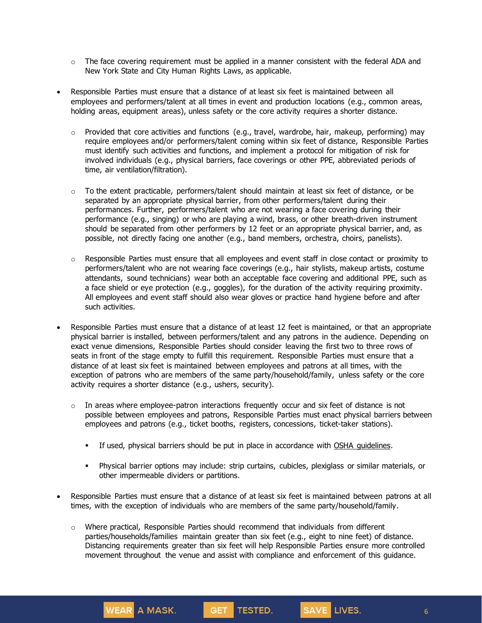- $\circ$  The face covering requirement must be applied in a manner consistent with the federal ADA and New York State and City Human Rights Laws, as applicable.
- Responsible Parties must ensure that a distance of at least six feet is maintained between all employees and performers/talent at all times in event and production locations (e.g., common areas, holding areas, equipment areas), unless safety or the core activity requires a shorter distance.
	- $\circ$  Provided that core activities and functions (e.g., travel, wardrobe, hair, makeup, performing) may require employees and/or performers/talent coming within six feet of distance, Responsible Parties must identify such activities and functions, and implement a protocol for mitigation of risk for involved individuals (e.g., physical barriers, face coverings or other PPE, abbreviated periods of time, air ventilation/filtration).
	- $\circ$  To the extent practicable, performers/talent should maintain at least six feet of distance, or be separated by an appropriate physical barrier, from other performers/talent during their performances. Further, performers/talent who are not wearing a face covering during their performance (e.g., singing) or who are playing a wind, brass, or other breath-driven instrument should be separated from other performers by 12 feet or an appropriate physical barrier, and, as possible, not directly facing one another (e.g., band members, orchestra, choirs, panelists).
	- $\circ$  Responsible Parties must ensure that all employees and event staff in close contact or proximity to performers/talent who are not wearing face coverings (e.g., hair stylists, makeup artists, costume attendants, sound technicians) wear both an acceptable face covering and additional PPE, such as a face shield or eye protection (e.g., goggles), for the duration of the activity requiring proximity. All employees and event staff should also wear gloves or practice hand hygiene before and after such activities.
- Responsible Parties must ensure that a distance of at least 12 feet is maintained, or that an appropriate physical barrier is installed, between performers/talent and any patrons in the audience. Depending on exact venue dimensions, Responsible Parties should consider leaving the first two to three rows of seats in front of the stage empty to fulfill this requirement. Responsible Parties must ensure that a distance of at least six feet is maintained between employees and patrons at all times, with the exception of patrons who are members of the same party/household/family, unless safety or the core activity requires a shorter distance (e.g., ushers, security).
	- $\circ$  In areas where employee-patron interactions frequently occur and six feet of distance is not possible between employees and patrons, Responsible Parties must enact physical barriers between employees and patrons (e.g., ticket booths, registers, concessions, ticket-taker stations).
		- **EXECT** If used, physical barriers should be put in place in accordance with OSHA [guidelines.](https://www.osha.gov/sites/default/files/publications/OSHA3990.pdf)
		- Physical barrier options may include: strip curtains, cubicles, plexiglass or similar materials, or other impermeable dividers or partitions.
- Responsible Parties must ensure that a distance of at least six feet is maintained between patrons at all times, with the exception of individuals who are members of the same party/household/family.
	- $\circ$  Where practical, Responsible Parties should recommend that individuals from different parties/households/families maintain greater than six feet (e.g., eight to nine feet) of distance. Distancing requirements greater than six feet will help Responsible Parties ensure more controlled movement throughout the venue and assist with compliance and enforcement of this guidance.

**WEAR** A MASK.

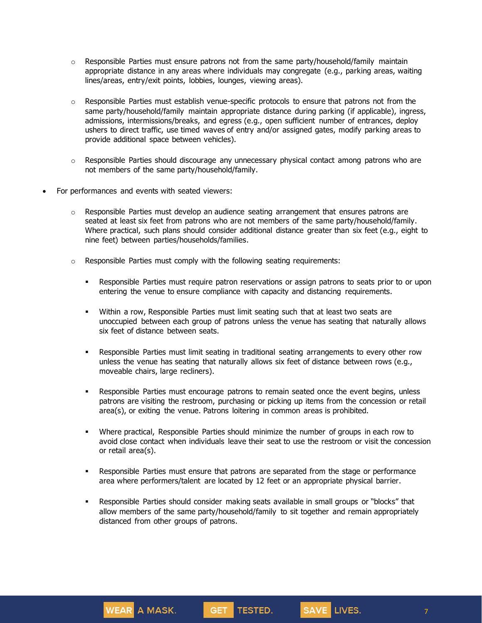- $\circ$  Responsible Parties must ensure patrons not from the same party/household/family maintain appropriate distance in any areas where individuals may congregate (e.g., parking areas, waiting lines/areas, entry/exit points, lobbies, lounges, viewing areas).
- $\circ$  Responsible Parties must establish venue-specific protocols to ensure that patrons not from the same party/household/family maintain appropriate distance during parking (if applicable), ingress, admissions, intermissions/breaks, and egress (e.g., open sufficient number of entrances, deploy ushers to direct traffic, use timed waves of entry and/or assigned gates, modify parking areas to provide additional space between vehicles).
- $\circ$  Responsible Parties should discourage any unnecessary physical contact among patrons who are not members of the same party/household/family.
- For performances and events with seated viewers:
	- $\circ$  Responsible Parties must develop an audience seating arrangement that ensures patrons are seated at least six feet from patrons who are not members of the same party/household/family. Where practical, such plans should consider additional distance greater than six feet (e.g., eight to nine feet) between parties/households/families.
	- o Responsible Parties must comply with the following seating requirements:
		- **EXECTS** Responsible Parties must require patron reservations or assign patrons to seats prior to or upon entering the venue to ensure compliance with capacity and distancing requirements.
		- Within a row, Responsible Parties must limit seating such that at least two seats are unoccupied between each group of patrons unless the venue has seating that naturally allows six feet of distance between seats.
		- **•** Responsible Parties must limit seating in traditional seating arrangements to every other row unless the venue has seating that naturally allows six feet of distance between rows (e.g., moveable chairs, large recliners).
		- **•** Responsible Parties must encourage patrons to remain seated once the event begins, unless patrons are visiting the restroom, purchasing or picking up items from the concession or retail area(s), or exiting the venue. Patrons loitering in common areas is prohibited.
		- Where practical, Responsible Parties should minimize the number of groups in each row to avoid close contact when individuals leave their seat to use the restroom or visit the concession or retail area(s).
		- **•** Responsible Parties must ensure that patrons are separated from the stage or performance area where performers/talent are located by 12 feet or an appropriate physical barrier.
		- Responsible Parties should consider making seats available in small groups or "blocks" that allow members of the same party/household/family to sit together and remain appropriately distanced from other groups of patrons.



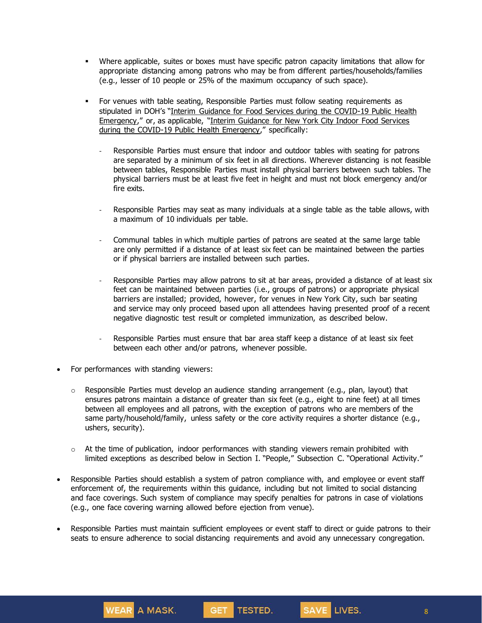- Where applicable, suites or boxes must have specific patron capacity limitations that allow for appropriate distancing among patrons who may be from different parties/households/families (e.g., lesser of 10 people or 25% of the maximum occupancy of such space).
- For venues with table seating, Responsible Parties must follow seating requirements as stipulated in DOH's "Interim Guidance for Food Services during the [COVID-19](https://www.governor.ny.gov/sites/governor.ny.gov/files/atoms/files/Indoor_and_Outdoor_Food_Services_Detailed_Guidelines.pdf) Public Health [Emergency](https://www.governor.ny.gov/sites/governor.ny.gov/files/atoms/files/Indoor_and_Outdoor_Food_Services_Detailed_Guidelines.pdf)," or, as applicable, "Interim [Guidance](https://www.governor.ny.gov/sites/governor.ny.gov/files/atoms/files/NYC_Indoor_Food_Services_Detailed_Guidance.pdf) for New York City Indoor Food Services during the COVID-19 Public Health [Emergency](https://www.governor.ny.gov/sites/governor.ny.gov/files/atoms/files/NYC_Indoor_Food_Services_Detailed_Guidance.pdf)," specifically:
	- Responsible Parties must ensure that indoor and outdoor tables with seating for patrons are separated by a minimum of six feet in all directions. Wherever distancing is not feasible between tables, Responsible Parties must install physical barriers between such tables. The physical barriers must be at least five feet in height and must not block emergency and/or fire exits.
	- Responsible Parties may seat as many individuals at a single table as the table allows, with a maximum of 10 individuals per table.
	- Communal tables in which multiple parties of patrons are seated at the same large table are only permitted if a distance of at least six feet can be maintained between the parties or if physical barriers are installed between such parties.
	- Responsible Parties may allow patrons to sit at bar areas, provided a distance of at least six feet can be maintained between parties (i.e., groups of patrons) or appropriate physical barriers are installed; provided, however, for venues in New York City, such bar seating and service may only proceed based upon all attendees having presented proof of a recent negative diagnostic test result or completed immunization, as described below.
	- Responsible Parties must ensure that bar area staff keep a distance of at least six feet between each other and/or patrons, whenever possible.
- For performances with standing viewers:

**WEAR** A MASK.

- $\circ$  Responsible Parties must develop an audience standing arrangement (e.g., plan, layout) that ensures patrons maintain a distance of greater than six feet (e.g., eight to nine feet) at all times between all employees and all patrons, with the exception of patrons who are members of the same party/household/family, unless safety or the core activity requires a shorter distance (e.g., ushers, security).
- $\circ$  At the time of publication, indoor performances with standing viewers remain prohibited with limited exceptions as described below in Section I. "People," Subsection C. "Operational Activity."
- Responsible Parties should establish a system of patron compliance with, and employee or event staff enforcement of, the requirements within this guidance, including but not limited to social distancing and face coverings. Such system of compliance may specify penalties for patrons in case of violations (e.g., one face covering warning allowed before ejection from venue).
- Responsible Parties must maintain sufficient employees or event staff to direct or guide patrons to their seats to ensure adherence to social distancing requirements and avoid any unnecessary congregation.

GET TESTED.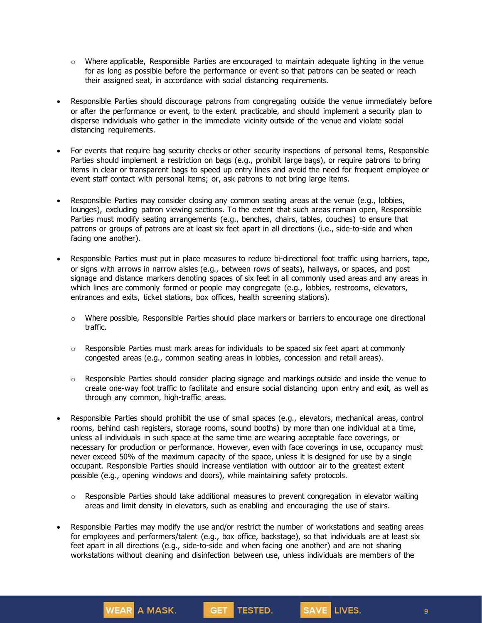- $\circ$  Where applicable, Responsible Parties are encouraged to maintain adequate lighting in the venue for as long as possible before the performance or event so that patrons can be seated or reach their assigned seat, in accordance with social distancing requirements.
- Responsible Parties should discourage patrons from congregating outside the venue immediately before or after the performance or event, to the extent practicable, and should implement a security plan to disperse individuals who gather in the immediate vicinity outside of the venue and violate social distancing requirements.
- For events that require bag security checks or other security inspections of personal items, Responsible Parties should implement a restriction on bags (e.g., prohibit large bags), or require patrons to bring items in clear or transparent bags to speed up entry lines and avoid the need for frequent employee or event staff contact with personal items; or, ask patrons to not bring large items.
- Responsible Parties may consider closing any common seating areas at the venue (e.g., lobbies, lounges), excluding patron viewing sections. To the extent that such areas remain open, Responsible Parties must modify seating arrangements (e.g., benches, chairs, tables, couches) to ensure that patrons or groups of patrons are at least six feet apart in all directions (i.e., side-to-side and when facing one another).
- Responsible Parties must put in place measures to reduce bi-directional foot traffic using barriers, tape, or signs with arrows in narrow aisles (e.g., between rows of seats), hallways, or spaces, and post signage and distance markers denoting spaces of six feet in all commonly used areas and any areas in which lines are commonly formed or people may congregate (e.g., lobbies, restrooms, elevators, entrances and exits, ticket stations, box offices, health screening stations).
	- o Where possible, Responsible Parties should place markers or barriers to encourage one directional traffic.
	- $\circ$  Responsible Parties must mark areas for individuals to be spaced six feet apart at commonly congested areas (e.g., common seating areas in lobbies, concession and retail areas).
	- $\circ$  Responsible Parties should consider placing signage and markings outside and inside the venue to create one-way foot traffic to facilitate and ensure social distancing upon entry and exit, as well as through any common, high-traffic areas.
- Responsible Parties should prohibit the use of small spaces (e.g., elevators, mechanical areas, control rooms, behind cash registers, storage rooms, sound booths) by more than one individual at a time, unless all individuals in such space at the same time are wearing acceptable face coverings, or necessary for production or performance. However, even with face coverings in use, occupancy must never exceed 50% of the maximum capacity of the space, unless it is designed for use by a single occupant. Responsible Parties should increase ventilation with outdoor air to the greatest extent possible (e.g., opening windows and doors), while maintaining safety protocols.
	- $\circ$  Responsible Parties should take additional measures to prevent congregation in elevator waiting areas and limit density in elevators, such as enabling and encouraging the use of stairs.
- Responsible Parties may modify the use and/or restrict the number of workstations and seating areas for employees and performers/talent (e.g., box office, backstage), so that individuals are at least six feet apart in all directions (e.g., side-to-side and when facing one another) and are not sharing workstations without cleaning and disinfection between use, unless individuals are members of the

WEAR A MASK.

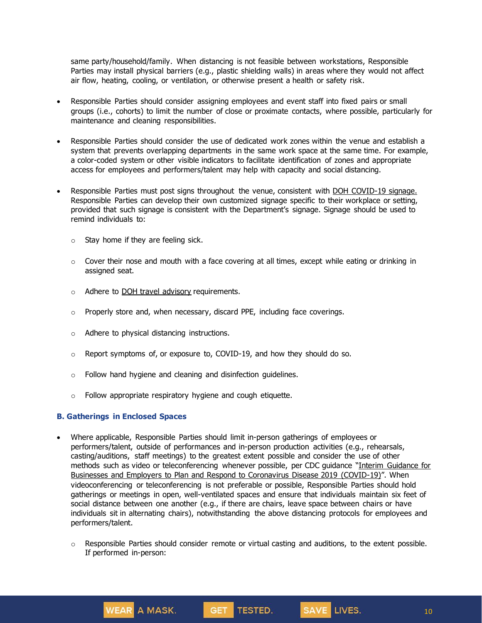same party/household/family. When distancing is not feasible between workstations, Responsible Parties may install physical barriers (e.g., plastic shielding walls) in areas where they would not affect air flow, heating, cooling, or ventilation, or otherwise present a health or safety risk.

- Responsible Parties should consider assigning employees and event staff into fixed pairs or small groups (i.e., cohorts) to limit the number of close or proximate contacts, where possible, particularly for maintenance and cleaning responsibilities.
- Responsible Parties should consider the use of dedicated work zones within the venue and establish a system that prevents overlapping departments in the same work space at the same time. For example, a color-coded system or other visible indicators to facilitate identification of zones and appropriate access for employees and performers/talent may help with capacity and social distancing.
- Responsible Parties must post signs throughout the venue, consistent with DOH [COVID-19](https://coronavirus.health.ny.gov/system/files/documents/2020/04/13067_coronavirus_protectyourself_poster_042020.pdf) signage. Responsible Parties can develop their own customized signage specific to their workplace or setting, provided that such signage is consistent with the Department's signage. Signage should be used to remind individuals to:
	- $\circ$  Stay home if they are feeling sick.
	- $\circ$  Cover their nose and mouth with a face covering at all times, except while eating or drinking in assigned seat.
	- $\circ$  Adhere to DOH travel [advisory](https://coronavirus.health.ny.gov/covid-19-travel-advisory) requirements.
	- o Properly store and, when necessary, discard PPE, including face coverings.
	- o Adhere to physical distancing instructions.
	- o Report symptoms of, or exposure to, COVID-19, and how they should do so.
	- o Follow hand hygiene and cleaning and disinfection guidelines.
	- o Follow appropriate respiratory hygiene and cough etiquette.

#### **B. Gatherings in Enclosed Spaces**

**WEAR A MASK.** 

- Where applicable, Responsible Parties should limit in-person gatherings of employees or performers/talent, outside of performances and in-person production activities (e.g., rehearsals, casting/auditions, staff meetings) to the greatest extent possible and consider the use of other methods such as video or teleconferencing whenever possible, per CDC guidance "Interim [Guidance](https://www.cdc.gov/coronavirus/2019-ncov/community/guidance-business-response.html) for Businesses and Employers to Plan and Respond to [Coronavirus](https://www.cdc.gov/coronavirus/2019-ncov/community/guidance-business-response.html) Disease 2019 (COVID-19)". When videoconferencing or teleconferencing is not preferable or possible, Responsible Parties should hold gatherings or meetings in open, well-ventilated spaces and ensure that individuals maintain six feet of social distance between one another (e.g., if there are chairs, leave space between chairs or have individuals sit in alternating chairs), notwithstanding the above distancing protocols for employees and performers/talent.
	- $\circ$  Responsible Parties should consider remote or virtual casting and auditions, to the extent possible. If performed in-person:

GET TESTED.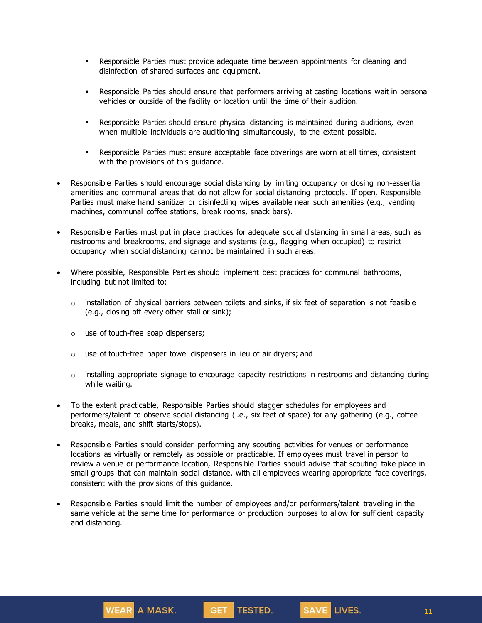- **•** Responsible Parties must provide adequate time between appointments for cleaning and disinfection of shared surfaces and equipment.
- **•** Responsible Parties should ensure that performers arriving at casting locations wait in personal vehicles or outside of the facility or location until the time of their audition.
- Responsible Parties should ensure physical distancing is maintained during auditions, even when multiple individuals are auditioning simultaneously, to the extent possible.
- **•** Responsible Parties must ensure acceptable face coverings are worn at all times, consistent with the provisions of this guidance.
- Responsible Parties should encourage social distancing by limiting occupancy or closing non-essential amenities and communal areas that do not allow for social distancing protocols. If open, Responsible Parties must make hand sanitizer or disinfecting wipes available near such amenities (e.g., vending machines, communal coffee stations, break rooms, snack bars).
- Responsible Parties must put in place practices for adequate social distancing in small areas, such as restrooms and breakrooms, and signage and systems (e.g., flagging when occupied) to restrict occupancy when social distancing cannot be maintained in such areas.
- Where possible, Responsible Parties should implement best practices for communal bathrooms, including but not limited to:
	- $\circ$  installation of physical barriers between toilets and sinks, if six feet of separation is not feasible (e.g., closing off every other stall or sink);
	- o use of touch-free soap dispensers;
	- $\circ$  use of touch-free paper towel dispensers in lieu of air dryers; and
	- $\circ$  installing appropriate signage to encourage capacity restrictions in restrooms and distancing during while waiting.
- To the extent practicable, Responsible Parties should stagger schedules for employees and performers/talent to observe social distancing (i.e., six feet of space) for any gathering (e.g., coffee breaks, meals, and shift starts/stops).
- Responsible Parties should consider performing any scouting activities for venues or performance locations as virtually or remotely as possible or practicable. If employees must travel in person to review a venue or performance location, Responsible Parties should advise that scouting take place in small groups that can maintain social distance, with all employees wearing appropriate face coverings, consistent with the provisions of this guidance.
- Responsible Parties should limit the number of employees and/or performers/talent traveling in the same vehicle at the same time for performance or production purposes to allow for sufficient capacity and distancing.



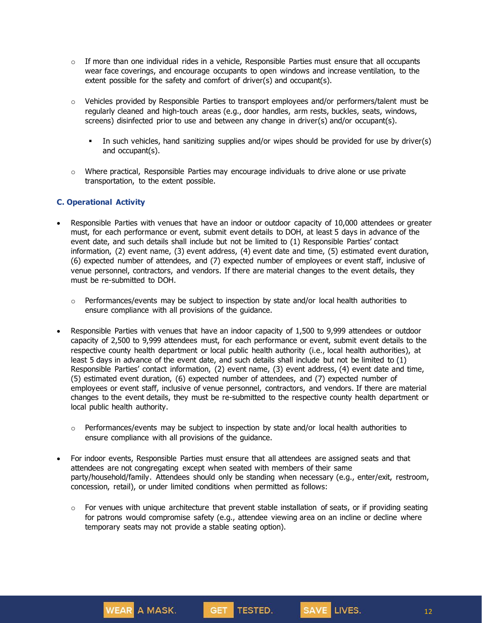- $\circ$  If more than one individual rides in a vehicle, Responsible Parties must ensure that all occupants wear face coverings, and encourage occupants to open windows and increase ventilation, to the extent possible for the safety and comfort of driver(s) and occupant(s).
- $\circ$  Vehicles provided by Responsible Parties to transport employees and/or performers/talent must be regularly cleaned and high-touch areas (e.g., door handles, arm rests, buckles, seats, windows, screens) disinfected prior to use and between any change in driver(s) and/or occupant(s).
	- In such vehicles, hand sanitizing supplies and/or wipes should be provided for use by driver(s) and occupant(s).
- $\circ$  Where practical, Responsible Parties may encourage individuals to drive alone or use private transportation, to the extent possible.

#### **C. Operational Activity**

- Responsible Parties with venues that have an indoor or outdoor capacity of 10,000 attendees or greater must, for each performance or event, submit event details to DOH, at least 5 days in advance of the event date, and such details shall include but not be limited to (1) Responsible Parties' contact information, (2) event name, (3) event address, (4) event date and time, (5) estimated event duration, (6) expected number of attendees, and (7) expected number of employees or event staff, inclusive of venue personnel, contractors, and vendors. If there are material changes to the event details, they must be re-submitted to DOH.
	- $\circ$  Performances/events may be subject to inspection by state and/or local health authorities to ensure compliance with all provisions of the guidance.
- Responsible Parties with venues that have an indoor capacity of 1,500 to 9,999 attendees or outdoor capacity of 2,500 to 9,999 attendees must, for each performance or event, submit event details to the respective county health department or local public health authority (i.e., local health authorities), at least 5 days in advance of the event date, and such details shall include but not be limited to (1) Responsible Parties' contact information, (2) event name, (3) event address, (4) event date and time, (5) estimated event duration, (6) expected number of attendees, and (7) expected number of employees or event staff, inclusive of venue personnel, contractors, and vendors. If there are material changes to the event details, they must be re-submitted to the respective county health department or local public health authority.
	- $\circ$  Performances/events may be subject to inspection by state and/or local health authorities to ensure compliance with all provisions of the guidance.
- For indoor events, Responsible Parties must ensure that all attendees are assigned seats and that attendees are not congregating except when seated with members of their same party/household/family. Attendees should only be standing when necessary (e.g., enter/exit, restroom, concession, retail), or under limited conditions when permitted as follows:
	- $\circ$  For venues with unique architecture that prevent stable installation of seats, or if providing seating for patrons would compromise safety (e.g., attendee viewing area on an incline or decline where temporary seats may not provide a stable seating option).



SAVE LIVES.

12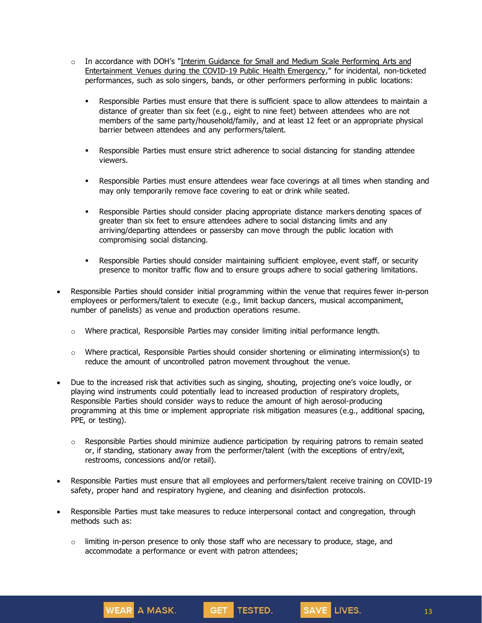- $\circ$  In accordance with DOH's "Interim Guidance for Small and Medium Scale [Performing](https://www.governor.ny.gov/sites/governor.ny.gov/files/atoms/files/Small_and_Medium_Performing_Arts_Detailed_Guidance.pdf) Arts and [Entertainment](https://www.governor.ny.gov/sites/governor.ny.gov/files/atoms/files/Small_and_Medium_Performing_Arts_Detailed_Guidance.pdf) Venues during the COVID-19 Public Health Emergency," for incidental, non-ticketed performances, such as solo singers, bands, or other performers performing in public locations:
	- **•** Responsible Parties must ensure that there is sufficient space to allow attendees to maintain a distance of greater than six feet (e.g., eight to nine feet) between attendees who are not members of the same party/household/family, and at least 12 feet or an appropriate physical barrier between attendees and any performers/talent.
	- **•** Responsible Parties must ensure strict adherence to social distancing for standing attendee viewers.
	- **•** Responsible Parties must ensure attendees wear face coverings at all times when standing and may only temporarily remove face covering to eat or drink while seated.
	- **•** Responsible Parties should consider placing appropriate distance markers denoting spaces of greater than six feet to ensure attendees adhere to social distancing limits and any arriving/departing attendees or passersby can move through the public location with compromising social distancing.
	- **•** Responsible Parties should consider maintaining sufficient employee, event staff, or security presence to monitor traffic flow and to ensure groups adhere to social gathering limitations.
- Responsible Parties should consider initial programming within the venue that requires fewer in-person employees or performers/talent to execute (e.g., limit backup dancers, musical accompaniment, number of panelists) as venue and production operations resume.
	- $\circ$  Where practical, Responsible Parties may consider limiting initial performance length.
	- $\circ$  Where practical, Responsible Parties should consider shortening or eliminating intermission(s) to reduce the amount of uncontrolled patron movement throughout the venue.
- Due to the increased risk that activities such as singing, shouting, projecting one's voice loudly, or playing wind instruments could potentially lead to increased production of respiratory droplets, Responsible Parties should consider ways to reduce the amount of high aerosol-producing programming at this time or implement appropriate risk mitigation measures (e.g., additional spacing, PPE, or testing).
	- o Responsible Parties should minimize audience participation by requiring patrons to remain seated or, if standing, stationary away from the performer/talent (with the exceptions of entry/exit, restrooms, concessions and/or retail).
- Responsible Parties must ensure that all employees and performers/talent receive training on COVID-19 safety, proper hand and respiratory hygiene, and cleaning and disinfection protocols.

SAVE LIVES.

- Responsible Parties must take measures to reduce interpersonal contact and congregation, through methods such as:
	- $\circ$  limiting in-person presence to only those staff who are necessary to produce, stage, and accommodate a performance or event with patron attendees;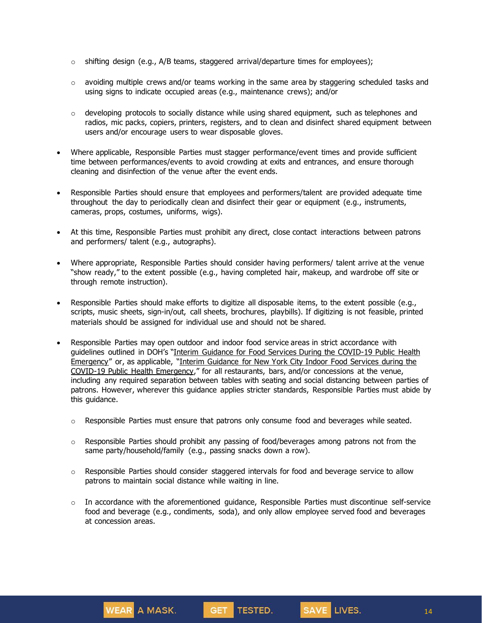- $\circ$  shifting design (e.g., A/B teams, staggered arrival/departure times for employees);
- o avoiding multiple crews and/or teams working in the same area by staggering scheduled tasks and using signs to indicate occupied areas (e.g., maintenance crews); and/or
- o developing protocols to socially distance while using shared equipment, such as telephones and radios, mic packs, copiers, printers, registers, and to clean and disinfect shared equipment between users and/or encourage users to wear disposable gloves.
- Where applicable, Responsible Parties must stagger performance/event times and provide sufficient time between performances/events to avoid crowding at exits and entrances, and ensure thorough cleaning and disinfection of the venue after the event ends.
- Responsible Parties should ensure that employees and performers/talent are provided adequate time throughout the day to periodically clean and disinfect their gear or equipment (e.g., instruments, cameras, props, costumes, uniforms, wigs).
- At this time, Responsible Parties must prohibit any direct, close contact interactions between patrons and performers/ talent (e.g., autographs).
- Where appropriate, Responsible Parties should consider having performers/ talent arrive at the venue "show ready," to the extent possible (e.g., having completed hair, makeup, and wardrobe off site or through remote instruction).
- Responsible Parties should make efforts to digitize all disposable items, to the extent possible (e.g., scripts, music sheets, sign-in/out, call sheets, brochures, playbills). If digitizing is not feasible, printed materials should be assigned for individual use and should not be shared.
- Responsible Parties may open outdoor and indoor food service areas in strict accordance with guidelines outlined in DOH's "Interim Guidance for Food Services During the [COVID-19](https://www.governor.ny.gov/sites/governor.ny.gov/files/atoms/files/Indoor_and_Outdoor_Food_Services_Detailed_Guidelines.pdf) Public Health [Emergency](https://www.governor.ny.gov/sites/governor.ny.gov/files/atoms/files/Indoor_and_Outdoor_Food_Services_Detailed_Guidelines.pdf)" or, as applicable, "Interim [Guidance](https://www.governor.ny.gov/sites/governor.ny.gov/files/atoms/files/NYC_Indoor_Food_Services_Detailed_Guidance.pdf) for New York City Indoor Food Services during the COVID-19 Public Health [Emergency](https://www.governor.ny.gov/sites/governor.ny.gov/files/atoms/files/NYC_Indoor_Food_Services_Detailed_Guidance.pdf)," for all restaurants, bars, and/or concessions at the venue, including any required separation between tables with seating and social distancing between parties of patrons. However, wherever this guidance applies stricter standards, Responsible Parties must abide by this guidance.
	- $\circ$  Responsible Parties must ensure that patrons only consume food and beverages while seated.
	- $\circ$  Responsible Parties should prohibit any passing of food/beverages among patrons not from the same party/household/family (e.g., passing snacks down a row).
	- $\circ$  Responsible Parties should consider staggered intervals for food and beverage service to allow patrons to maintain social distance while waiting in line.
	- $\circ$  In accordance with the aforementioned guidance, Responsible Parties must discontinue self-service food and beverage (e.g., condiments, soda), and only allow employee served food and beverages at concession areas.



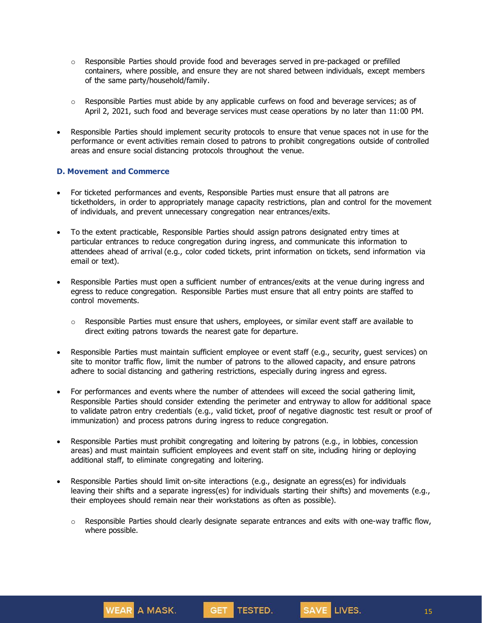- $\circ$  Responsible Parties should provide food and beverages served in pre-packaged or prefilled containers, where possible, and ensure they are not shared between individuals, except members of the same party/household/family.
- $\circ$  Responsible Parties must abide by any applicable curfews on food and beverage services; as of April 2, 2021, such food and beverage services must cease operations by no later than 11:00 PM.
- Responsible Parties should implement security protocols to ensure that venue spaces not in use for the performance or event activities remain closed to patrons to prohibit congregations outside of controlled areas and ensure social distancing protocols throughout the venue.

## **D. Movement and Commerce**

- For ticketed performances and events, Responsible Parties must ensure that all patrons are ticketholders, in order to appropriately manage capacity restrictions, plan and control for the movement of individuals, and prevent unnecessary congregation near entrances/exits.
- To the extent practicable, Responsible Parties should assign patrons designated entry times at particular entrances to reduce congregation during ingress, and communicate this information to attendees ahead of arrival (e.g., color coded tickets, print information on tickets, send information via email or text).
- Responsible Parties must open a sufficient number of entrances/exits at the venue during ingress and egress to reduce congregation. Responsible Parties must ensure that all entry points are staffed to control movements.
	- $\circ$  Responsible Parties must ensure that ushers, employees, or similar event staff are available to direct exiting patrons towards the nearest gate for departure.
- Responsible Parties must maintain sufficient employee or event staff (e.g., security, guest services) on site to monitor traffic flow, limit the number of patrons to the allowed capacity, and ensure patrons adhere to social distancing and gathering restrictions, especially during ingress and egress.
- For performances and events where the number of attendees will exceed the social gathering limit, Responsible Parties should consider extending the perimeter and entryway to allow for additional space to validate patron entry credentials (e.g., valid ticket, proof of negative diagnostic test result or proof of immunization) and process patrons during ingress to reduce congregation.
- Responsible Parties must prohibit congregating and loitering by patrons (e.g., in lobbies, concession areas) and must maintain sufficient employees and event staff on site, including hiring or deploying additional staff, to eliminate congregating and loitering.
- Responsible Parties should limit on-site interactions (e.g., designate an egress(es) for individuals leaving their shifts and a separate ingress(es) for individuals starting their shifts) and movements (e.g., their employees should remain near their workstations as often as possible).
	- $\circ$  Responsible Parties should clearly designate separate entrances and exits with one-way traffic flow, where possible.



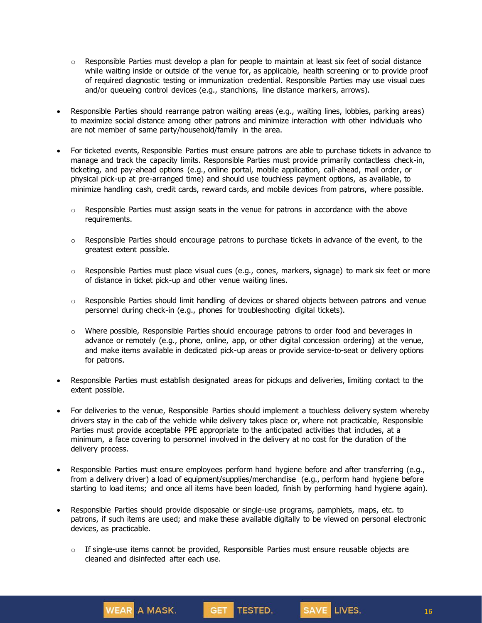- $\circ$  Responsible Parties must develop a plan for people to maintain at least six feet of social distance while waiting inside or outside of the venue for, as applicable, health screening or to provide proof of required diagnostic testing or immunization credential. Responsible Parties may use visual cues and/or queueing control devices (e.g., stanchions, line distance markers, arrows).
- Responsible Parties should rearrange patron waiting areas (e.g., waiting lines, lobbies, parking areas) to maximize social distance among other patrons and minimize interaction with other individuals who are not member of same party/household/family in the area.
- For ticketed events, Responsible Parties must ensure patrons are able to purchase tickets in advance to manage and track the capacity limits. Responsible Parties must provide primarily contactless check-in, ticketing, and pay-ahead options (e.g., online portal, mobile application, call-ahead, mail order, or physical pick-up at pre-arranged time) and should use touchless payment options, as available, to minimize handling cash, credit cards, reward cards, and mobile devices from patrons, where possible.
	- $\circ$  Responsible Parties must assign seats in the venue for patrons in accordance with the above requirements.
	- $\circ$  Responsible Parties should encourage patrons to purchase tickets in advance of the event, to the greatest extent possible.
	- $\circ$  Responsible Parties must place visual cues (e.g., cones, markers, signage) to mark six feet or more of distance in ticket pick-up and other venue waiting lines.
	- $\circ$  Responsible Parties should limit handling of devices or shared objects between patrons and venue personnel during check-in (e.g., phones for troubleshooting digital tickets).
	- o Where possible, Responsible Parties should encourage patrons to order food and beverages in advance or remotely (e.g., phone, online, app, or other digital concession ordering) at the venue, and make items available in dedicated pick-up areas or provide service-to-seat or delivery options for patrons.
- Responsible Parties must establish designated areas for pickups and deliveries, limiting contact to the extent possible.
- For deliveries to the venue, Responsible Parties should implement a touchless delivery system whereby drivers stay in the cab of the vehicle while delivery takes place or, where not practicable, Responsible Parties must provide acceptable PPE appropriate to the anticipated activities that includes, at a minimum, a face covering to personnel involved in the delivery at no cost for the duration of the delivery process.
- Responsible Parties must ensure employees perform hand hygiene before and after transferring (e.g., from a delivery driver) a load of equipment/supplies/merchandise (e.g., perform hand hygiene before starting to load items; and once all items have been loaded, finish by performing hand hygiene again).
- Responsible Parties should provide disposable or single-use programs, pamphlets, maps, etc. to patrons, if such items are used; and make these available digitally to be viewed on personal electronic devices, as practicable.
	- o If single-use items cannot be provided, Responsible Parties must ensure reusable objects are cleaned and disinfected after each use.

WEAR A MASK.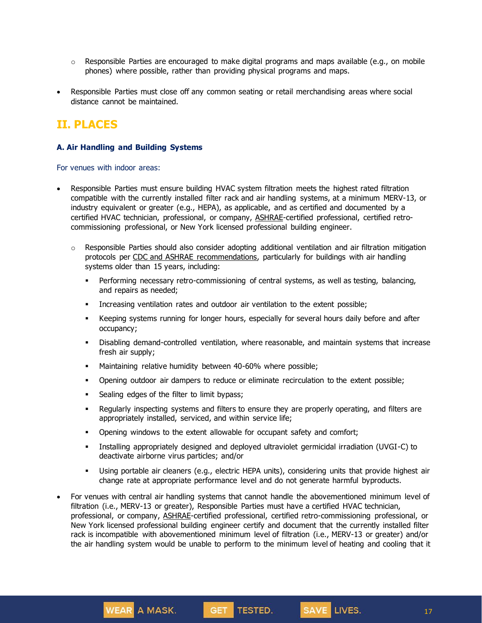- $\circ$  Responsible Parties are encouraged to make digital programs and maps available (e.g., on mobile phones) where possible, rather than providing physical programs and maps.
- Responsible Parties must close off any common seating or retail merchandising areas where social distance cannot be maintained.

# **II. PLACES**

### **A. Air Handling and Building Systems**

For venues with indoor areas:

- Responsible Parties must ensure building HVAC system filtration meets the highest rated filtration compatible with the currently installed filter rack and air handling systems, at a minimum MERV-13, or industry equivalent or greater (e.g., HEPA), as applicable, and as certified and documented by a certified HVAC technician, professional, or company, [ASHRAE-](https://www.ashrae.org/about/news/2020/ashrae-offers-covid-19-building-readiness-reopening-guidance)certified professional, certified retrocommissioning professional, or New York licensed professional building engineer.
	- $\circ$  Responsible Parties should also consider adopting additional ventilation and air filtration mitigation protocols per [CDC](https://www.cdc.gov/coronavirus/2019-ncov/community/guidance-business-response.html) and [ASHRAE](https://www.ashrae.org/technical-resources/resources) recommendations, particularly for buildings with air handling systems older than 15 years, including:
		- **•** Performing necessary retro-commissioning of central systems, as well as testing, balancing, and repairs as needed;
		- Increasing ventilation rates and outdoor air ventilation to the extent possible;
		- **•** Keeping systems running for longer hours, especially for several hours daily before and after occupancy;
		- Disabling demand-controlled ventilation, where reasonable, and maintain systems that increase fresh air supply;
		- **■** Maintaining relative humidity between 40-60% where possible;
		- Opening outdoor air dampers to reduce or eliminate recirculation to the extent possible;
		- **•** Sealing edges of the filter to limit bypass;
		- Regularly inspecting systems and filters to ensure they are properly operating, and filters are appropriately installed, serviced, and within service life;
		- **•** Opening windows to the extent allowable for occupant safety and comfort;
		- Installing appropriately designed and deployed ultraviolet germicidal irradiation (UVGI-C) to deactivate airborne virus particles; and/or
		- Using portable air cleaners (e.g., electric HEPA units), considering units that provide highest air change rate at appropriate performance level and do not generate harmful byproducts.
- For venues with central air handling systems that cannot handle the abovementioned minimum level of filtration (i.e., MERV-13 or greater), Responsible Parties must have a certified HVAC technician, professional, or company, [ASHRAE-](https://www.ashrae.org/about/news/2020/ashrae-offers-covid-19-building-readiness-reopening-guidance)certified professional, certified retro-commissioning professional, or New York licensed professional building engineer certify and document that the currently installed filter rack is incompatible with abovementioned minimum level of filtration (i.e., MERV-13 or greater) and/or the air handling system would be unable to perform to the minimum level of heating and cooling that it

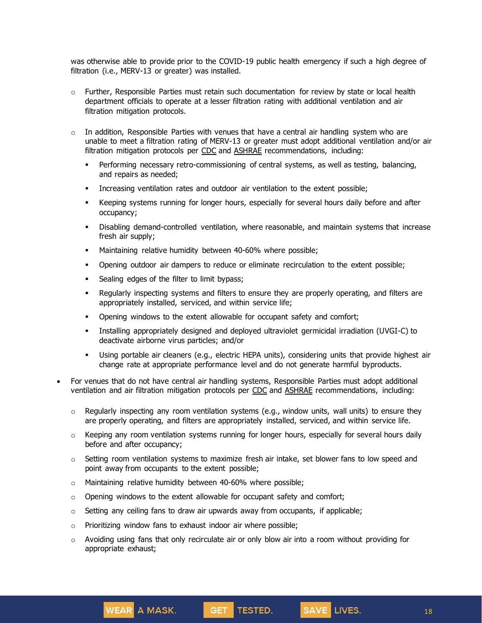was otherwise able to provide prior to the COVID-19 public health emergency if such a high degree of filtration (i.e., MERV-13 or greater) was installed.

- $\circ$  Further, Responsible Parties must retain such documentation for review by state or local health department officials to operate at a lesser filtration rating with additional ventilation and air filtration mitigation protocols.
- $\circ$  In addition, Responsible Parties with venues that have a central air handling system who are unable to meet a filtration rating of MERV-13 or greater must adopt additional ventilation and/or air filtration mitigation protocols per [CDC](https://www.cdc.gov/coronavirus/2019-ncov/community/guidance-business-response.html) and [ASHRAE](https://www.ashrae.org/technical-resources/resources) recommendations, including:
	- **•** Performing necessary retro-commissioning of central systems, as well as testing, balancing, and repairs as needed;
	- Increasing ventilation rates and outdoor air ventilation to the extent possible;
	- **EXECT** Keeping systems running for longer hours, especially for several hours daily before and after occupancy;
	- Disabling demand-controlled ventilation, where reasonable, and maintain systems that increase fresh air supply;
	- **■** Maintaining relative humidity between 40-60% where possible;
	- Opening outdoor air dampers to reduce or eliminate recirculation to the extent possible;
	- **•** Sealing edges of the filter to limit bypass;
	- Regularly inspecting systems and filters to ensure they are properly operating, and filters are appropriately installed, serviced, and within service life;
	- Opening windows to the extent allowable for occupant safety and comfort;
	- Installing appropriately designed and deployed ultraviolet germicidal irradiation (UVGI-C) to deactivate airborne virus particles; and/or
	- Using portable air cleaners (e.g., electric HEPA units), considering units that provide highest air change rate at appropriate performance level and do not generate harmful byproducts.
- For venues that do not have central air handling systems, Responsible Parties must adopt additional ventilation and air filtration mitigation protocols per [CDC](https://www.cdc.gov/coronavirus/2019-ncov/community/guidance-business-response.html) and [ASHRAE](https://www.ashrae.org/technical-resources/resources) recommendations, including:
	- o Regularly inspecting any room ventilation systems (e.g., window units, wall units) to ensure they are properly operating, and filters are appropriately installed, serviced, and within service life.
	- $\circ$  Keeping any room ventilation systems running for longer hours, especially for several hours daily before and after occupancy;
	- $\circ$  Setting room ventilation systems to maximize fresh air intake, set blower fans to low speed and point away from occupants to the extent possible;
	- o Maintaining relative humidity between 40-60% where possible;
	- $\circ$  Opening windows to the extent allowable for occupant safety and comfort;
	- $\circ$  Setting any ceiling fans to draw air upwards away from occupants, if applicable;
	- o Prioritizing window fans to exhaust indoor air where possible;

**WEAR** A MASK.

 $\circ$  Avoiding using fans that only recirculate air or only blow air into a room without providing for appropriate exhaust;

GET TESTED.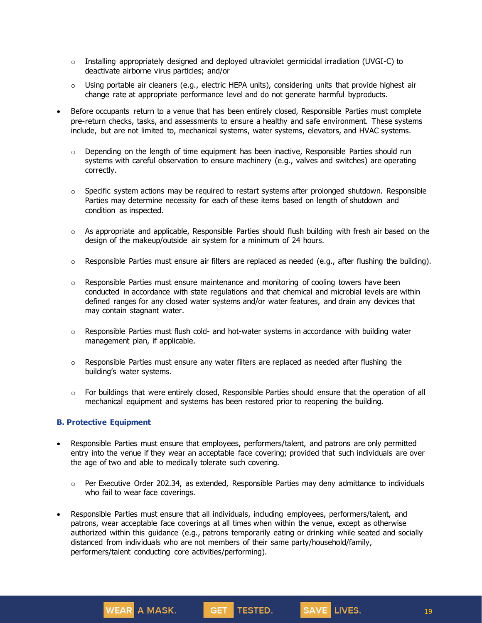- $\circ$  Installing appropriately designed and deployed ultraviolet germicidal irradiation (UVGI-C) to deactivate airborne virus particles; and/or
- o Using portable air cleaners (e.g., electric HEPA units), considering units that provide highest air change rate at appropriate performance level and do not generate harmful byproducts.
- Before occupants return to a venue that has been entirely closed, Responsible Parties must complete pre-return checks, tasks, and assessments to ensure a healthy and safe environment. These systems include, but are not limited to, mechanical systems, water systems, elevators, and HVAC systems.
	- $\circ$  Depending on the length of time equipment has been inactive, Responsible Parties should run systems with careful observation to ensure machinery (e.g., valves and switches) are operating correctly.
	- $\circ$  Specific system actions may be required to restart systems after prolonged shutdown. Responsible Parties may determine necessity for each of these items based on length of shutdown and condition as inspected.
	- $\circ$  As appropriate and applicable, Responsible Parties should flush building with fresh air based on the design of the makeup/outside air system for a minimum of 24 hours.
	- $\circ$  Responsible Parties must ensure air filters are replaced as needed (e.g., after flushing the building).
	- $\circ$  Responsible Parties must ensure maintenance and monitoring of cooling towers have been conducted in accordance with state regulations and that chemical and microbial levels are within defined ranges for any closed water systems and/or water features, and drain any devices that may contain stagnant water.
	- $\circ$  Responsible Parties must flush cold- and hot-water systems in accordance with building water management plan, if applicable.
	- $\circ$  Responsible Parties must ensure any water filters are replaced as needed after flushing the building's water systems.
	- $\circ$  For buildings that were entirely closed, Responsible Parties should ensure that the operation of all mechanical equipment and systems has been restored prior to reopening the building.

#### **B. Protective Equipment**

- Responsible Parties must ensure that employees, performers/talent, and patrons are only permitted entry into the venue if they wear an acceptable face covering; provided that such individuals are over the age of two and able to medically tolerate such covering.
	- $\circ$  Per [Executive](https://www.governor.ny.gov/news/no-20234-continuing-temporary-suspension-and-modification-laws-relating-disaster-emergency) Order 202.34, as extended, Responsible Parties may deny admittance to individuals who fail to wear face coverings.
- Responsible Parties must ensure that all individuals, including employees, performers/talent, and patrons, wear acceptable face coverings at all times when within the venue, except as otherwise authorized within this guidance (e.g., patrons temporarily eating or drinking while seated and socially distanced from individuals who are not members of their same party/household/family, performers/talent conducting core activities/performing).



SAVE LIVES.

19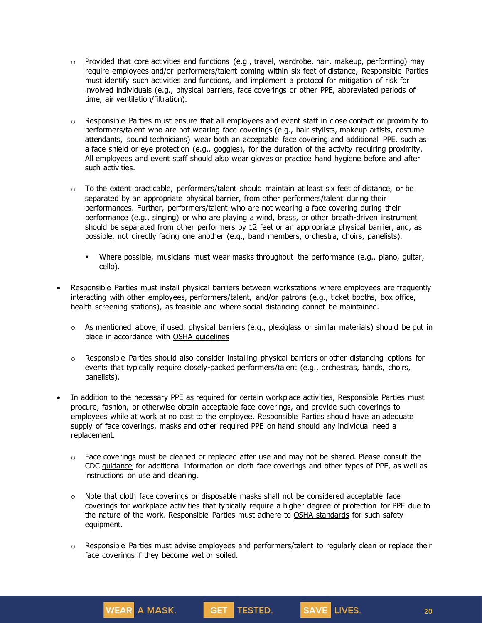- $\circ$  Provided that core activities and functions (e.g., travel, wardrobe, hair, makeup, performing) may require employees and/or performers/talent coming within six feet of distance, Responsible Parties must identify such activities and functions, and implement a protocol for mitigation of risk for involved individuals (e.g., physical barriers, face coverings or other PPE, abbreviated periods of time, air ventilation/filtration).
- $\circ$  Responsible Parties must ensure that all employees and event staff in close contact or proximity to performers/talent who are not wearing face coverings (e.g., hair stylists, makeup artists, costume attendants, sound technicians) wear both an acceptable face covering and additional PPE, such as a face shield or eye protection (e.g., goggles), for the duration of the activity requiring proximity. All employees and event staff should also wear gloves or practice hand hygiene before and after such activities.
- $\circ$  To the extent practicable, performers/talent should maintain at least six feet of distance, or be separated by an appropriate physical barrier, from other performers/talent during their performances. Further, performers/talent who are not wearing a face covering during their performance (e.g., singing) or who are playing a wind, brass, or other breath-driven instrument should be separated from other performers by 12 feet or an appropriate physical barrier, and, as possible, not directly facing one another (e.g., band members, orchestra, choirs, panelists).
	- Where possible, musicians must wear masks throughout the performance (e.g., piano, guitar, cello).
- Responsible Parties must install physical barriers between workstations where employees are frequently interacting with other employees, performers/talent, and/or patrons (e.g., ticket booths, box office, health screening stations), as feasible and where social distancing cannot be maintained.
	- $\circ$  As mentioned above, if used, physical barriers (e.g., plexiglass or similar materials) should be put in place in accordance with OSHA [guidelines](https://www.osha.gov/Publications/OSHA3990.pdf)
	- o Responsible Parties should also consider installing physical barriers or other distancing options for events that typically require closely-packed performers/talent (e.g., orchestras, bands, choirs, panelists).
- In addition to the necessary PPE as required for certain workplace activities, Responsible Parties must procure, fashion, or otherwise obtain acceptable face coverings, and provide such coverings to employees while at work at no cost to the employee. Responsible Parties should have an adequate supply of face coverings, masks and other required PPE on hand should any individual need a replacement.
	- $\circ$  Face coverings must be cleaned or replaced after use and may not be shared. Please consult the CDC [guidance](https://www.cdc.gov/coronavirus/2019-ncov/community/guidance-business-response.html) for additional information on cloth face coverings and other types of PPE, as well as instructions on use and cleaning.
	- $\circ$  Note that cloth face coverings or disposable masks shall not be considered acceptable face coverings for workplace activities that typically require a higher degree of protection for PPE due to the nature of the work. Responsible Parties must adhere to OSHA [standards](https://www.osha.gov/personal-protective-equipment) for such safety equipment.
	- $\circ$  Responsible Parties must advise employees and performers/talent to regularly clean or replace their face coverings if they become wet or soiled.

SAVE LIVES.

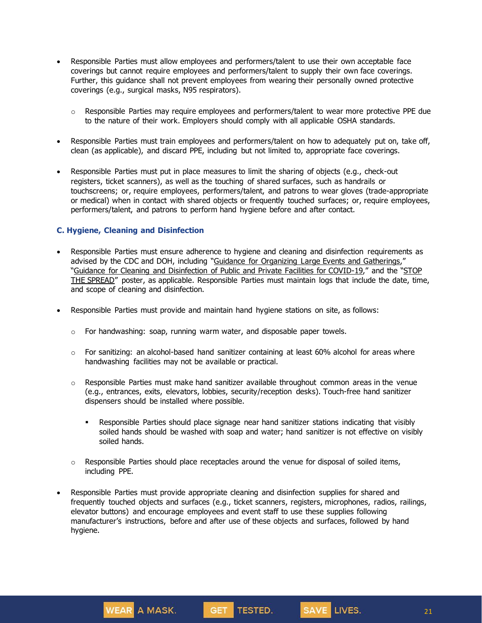- Responsible Parties must allow employees and performers/talent to use their own acceptable face coverings but cannot require employees and performers/talent to supply their own face coverings. Further, this guidance shall not prevent employees from wearing their personally owned protective coverings (e.g., surgical masks, N95 respirators).
	- $\circ$  Responsible Parties may require employees and performers/talent to wear more protective PPE due to the nature of their work. Employers should comply with all applicable OSHA standards.
- Responsible Parties must train employees and performers/talent on how to adequately put on, take off, clean (as applicable), and discard PPE, including but not limited to, appropriate face coverings.
- Responsible Parties must put in place measures to limit the sharing of objects (e.g., check-out registers, ticket scanners), as well as the touching of shared surfaces, such as handrails or touchscreens; or, require employees, performers/talent, and patrons to wear gloves (trade-appropriate or medical) when in contact with shared objects or frequently touched surfaces; or, require employees, performers/talent, and patrons to perform hand hygiene before and after contact.

### **C. Hygiene, Cleaning and Disinfection**

- Responsible Parties must ensure adherence to hygiene and cleaning and disinfection requirements as advised by the CDC and DOH, including "Guidance for Organizing Large Events and [Gatherings](https://www.cdc.gov/coronavirus/2019-ncov/community/large-events/considerations-for-events-gatherings.html)," "Guidance for Cleaning and [Disinfection](https://coronavirus.health.ny.gov/system/files/documents/2020/08/interim-guidance-public-and-private-facilities_1.pdf) of Public and Private Facilities for COVID-19," and the "[STOP](https://coronavirus.health.ny.gov/system/files/documents/2020/04/13067_coronavirus_protectyourself_poster_042020.pdf) THE [SPREAD](https://coronavirus.health.ny.gov/system/files/documents/2020/04/13067_coronavirus_protectyourself_poster_042020.pdf)" poster, as applicable. Responsible Parties must maintain logs that include the date, time, and scope of cleaning and disinfection.
- Responsible Parties must provide and maintain hand hygiene stations on site, as follows:
	- $\circ$  For handwashing: soap, running warm water, and disposable paper towels.
	- $\circ$  For sanitizing: an alcohol-based hand sanitizer containing at least 60% alcohol for areas where handwashing facilities may not be available or practical.
	- $\circ$  Responsible Parties must make hand sanitizer available throughout common areas in the venue (e.g., entrances, exits, elevators, lobbies, security/reception desks). Touch-free hand sanitizer dispensers should be installed where possible.
		- **•** Responsible Parties should place signage near hand sanitizer stations indicating that visibly soiled hands should be washed with soap and water; hand sanitizer is not effective on visibly soiled hands.
	- $\circ$  Responsible Parties should place receptacles around the venue for disposal of soiled items, including PPE.
- Responsible Parties must provide appropriate cleaning and disinfection supplies for shared and frequently touched objects and surfaces (e.g., ticket scanners, registers, microphones, radios, railings, elevator buttons) and encourage employees and event staff to use these supplies following manufacturer's instructions, before and after use of these objects and surfaces, followed by hand hygiene.



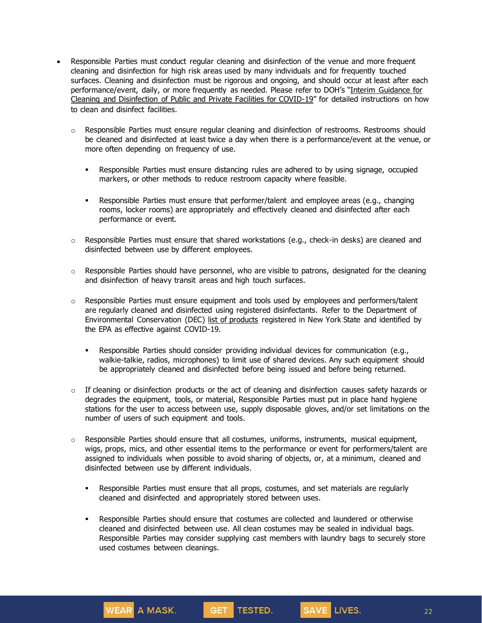- Responsible Parties must conduct regular cleaning and disinfection of the venue and more frequent cleaning and disinfection for high risk areas used by many individuals and for frequently touched surfaces. Cleaning and disinfection must be rigorous and ongoing, and should occur at least after each performance/event, daily, or more frequently as needed. Please refer to DOH's "Interim [Guidance](https://coronavirus.health.ny.gov/system/files/documents/2020/08/interim-guidance-public-and-private-facilities_1.pdf) for Cleaning and [Disinfection](https://coronavirus.health.ny.gov/system/files/documents/2020/08/interim-guidance-public-and-private-facilities_1.pdf) of Public and Private Facilities for COVID-19" for detailed instructions on how to clean and disinfect facilities.
	- o Responsible Parties must ensure regular cleaning and disinfection of restrooms. Restrooms should be cleaned and disinfected at least twice a day when there is a performance/event at the venue, or more often depending on frequency of use.
		- **•** Responsible Parties must ensure distancing rules are adhered to by using signage, occupied markers, or other methods to reduce restroom capacity where feasible.
		- **EXECT** Responsible Parties must ensure that performer/talent and employee areas (e.g., changing rooms, locker rooms) are appropriately and effectively cleaned and disinfected after each performance or event.
	- $\circ$  Responsible Parties must ensure that shared workstations (e.g., check-in desks) are cleaned and disinfected between use by different employees.
	- $\circ$  Responsible Parties should have personnel, who are visible to patrons, designated for the cleaning and disinfection of heavy transit areas and high touch surfaces.
	- $\circ$  Responsible Parties must ensure equipment and tools used by employees and performers/talent are regularly cleaned and disinfected using registered disinfectants. Refer to the Department of Environmental Conservation (DEC) list of [products](http://www.dec.ny.gov/docs/materials_minerals_pdf/covid19.pdf) registered in New York State and identified by the EPA as effective against COVID-19.
		- Responsible Parties should consider providing individual devices for communication (e.g., walkie-talkie, radios, microphones) to limit use of shared devices. Any such equipment should be appropriately cleaned and disinfected before being issued and before being returned.
	- $\circ$  If cleaning or disinfection products or the act of cleaning and disinfection causes safety hazards or degrades the equipment, tools, or material, Responsible Parties must put in place hand hygiene stations for the user to access between use, supply disposable gloves, and/or set limitations on the number of users of such equipment and tools.
	- $\circ$  Responsible Parties should ensure that all costumes, uniforms, instruments, musical equipment, wigs, props, mics, and other essential items to the performance or event for performers/talent are assigned to individuals when possible to avoid sharing of objects, or, at a minimum, cleaned and disinfected between use by different individuals.
		- Responsible Parties must ensure that all props, costumes, and set materials are regularly cleaned and disinfected and appropriately stored between uses.

SAVE LIVES.

WEAR A MASK.

**•** Responsible Parties should ensure that costumes are collected and laundered or otherwise cleaned and disinfected between use. All clean costumes may be sealed in individual bags. Responsible Parties may consider supplying cast members with laundry bags to securely store used costumes between cleanings.

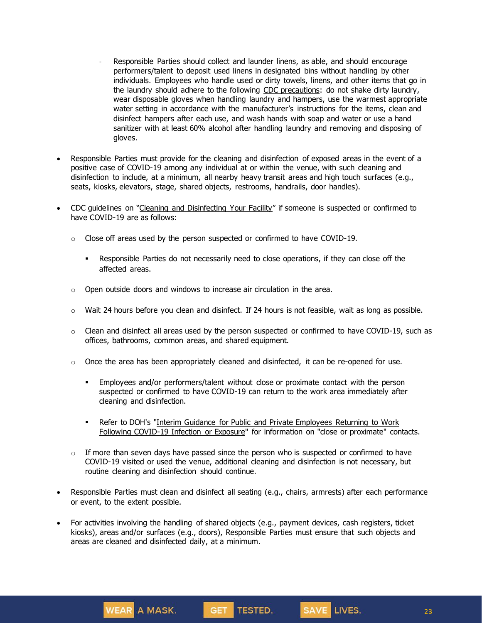- Responsible Parties should collect and launder linens, as able, and should encourage performers/talent to deposit used linens in designated bins without handling by other individuals. Employees who handle used or dirty towels, linens, and other items that go in the laundry should adhere to the following CDC [precautions:](https://www.cdc.gov/coronavirus/2019-ncov/prevent-getting-sick/disinfecting-your-home.html) do not shake dirty laundry, wear disposable gloves when handling laundry and hampers, use the warmest appropriate water setting in accordance with the manufacturer's instructions for the items, clean and disinfect hampers after each use, and wash hands with soap and water or use a hand sanitizer with at least 60% alcohol after handling laundry and removing and disposing of gloves.
- Responsible Parties must provide for the cleaning and disinfection of exposed areas in the event of a positive case of COVID-19 among any individual at or within the venue, with such cleaning and disinfection to include, at a minimum, all nearby heavy transit areas and high touch surfaces (e.g., seats, kiosks, elevators, stage, shared objects, restrooms, handrails, door handles).
- CDC guidelines on "Cleaning and [Disinfecting](https://www.cdc.gov/coronavirus/2019-ncov/community/disinfecting-building-facility.html) Your Facility" if someone is suspected or confirmed to have COVID-19 are as follows:
	- o Close off areas used by the person suspected or confirmed to have COVID-19.
		- Responsible Parties do not necessarily need to close operations, if they can close off the affected areas.
	- $\circ$  Open outside doors and windows to increase air circulation in the area.
	- $\circ$  Wait 24 hours before you clean and disinfect. If 24 hours is not feasible, wait as long as possible.
	- $\circ$  Clean and disinfect all areas used by the person suspected or confirmed to have COVID-19, such as offices, bathrooms, common areas, and shared equipment.
	- $\circ$  Once the area has been appropriately cleaned and disinfected, it can be re-opened for use.
		- **•** Employees and/or performers/talent without close or proximate contact with the person suspected or confirmed to have COVID-19 can return to the work area immediately after cleaning and disinfection.
		- **•** Refer to DOH's "Interim Guidance for Public and Private Employees Returning to Work Following COVID-19 Infection or Exposure" for information on "close or proximate" contacts.
	- $\circ$  If more than seven days have passed since the person who is suspected or confirmed to have COVID-19 visited or used the venue, additional cleaning and disinfection is not necessary, but routine cleaning and disinfection should continue.
- Responsible Parties must clean and disinfect all seating (e.g., chairs, armrests) after each performance or event, to the extent possible.
- For activities involving the handling of shared objects (e.g., payment devices, cash registers, ticket kiosks), areas and/or surfaces (e.g., doors), Responsible Parties must ensure that such objects and areas are cleaned and disinfected daily, at a minimum.



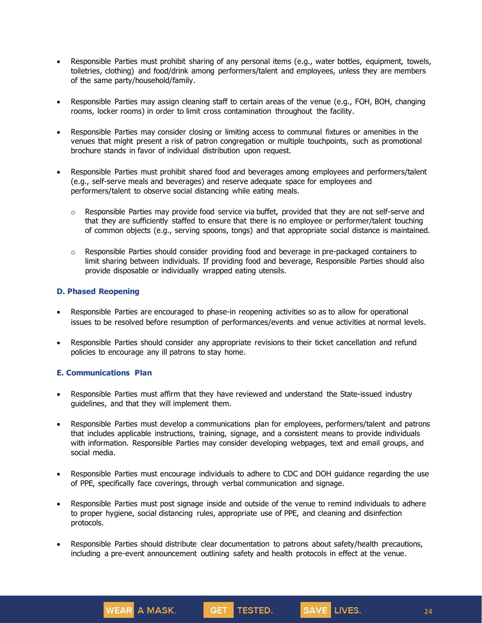- Responsible Parties must prohibit sharing of any personal items (e.g., water bottles, equipment, towels, toiletries, clothing) and food/drink among performers/talent and employees, unless they are members of the same party/household/family.
- Responsible Parties may assign cleaning staff to certain areas of the venue (e.g., FOH, BOH, changing rooms, locker rooms) in order to limit cross contamination throughout the facility.
- Responsible Parties may consider closing or limiting access to communal fixtures or amenities in the venues that might present a risk of patron congregation or multiple touchpoints, such as promotional brochure stands in favor of individual distribution upon request.
- Responsible Parties must prohibit shared food and beverages among employees and performers/talent (e.g., self-serve meals and beverages) and reserve adequate space for employees and performers/talent to observe social distancing while eating meals.
	- $\circ$  Responsible Parties may provide food service via buffet, provided that they are not self-serve and that they are sufficiently staffed to ensure that there is no employee or performer/talent touching of common objects (e.g., serving spoons, tongs) and that appropriate social distance is maintained.
	- $\circ$  Responsible Parties should consider providing food and beverage in pre-packaged containers to limit sharing between individuals. If providing food and beverage, Responsible Parties should also provide disposable or individually wrapped eating utensils.

#### **D. Phased Reopening**

- Responsible Parties are encouraged to phase-in reopening activities so as to allow for operational issues to be resolved before resumption of performances/events and venue activities at normal levels.
- Responsible Parties should consider any appropriate revisions to their ticket cancellation and refund policies to encourage any ill patrons to stay home.

#### **E. Communications Plan**

WEAR A MASK.

- Responsible Parties must affirm that they have reviewed and understand the State-issued industry guidelines, and that they will implement them.
- Responsible Parties must develop a communications plan for employees, performers/talent and patrons that includes applicable instructions, training, signage, and a consistent means to provide individuals with information. Responsible Parties may consider developing webpages, text and email groups, and social media.
- Responsible Parties must encourage individuals to adhere to CDC and DOH guidance regarding the use of PPE, specifically face coverings, through verbal communication and signage.
- Responsible Parties must post signage inside and outside of the venue to remind individuals to adhere to proper hygiene, social distancing rules, appropriate use of PPE, and cleaning and disinfection protocols.
- Responsible Parties should distribute clear documentation to patrons about safety/health precautions, including a pre-event announcement outlining safety and health protocols in effect at the venue.

GET TESTED.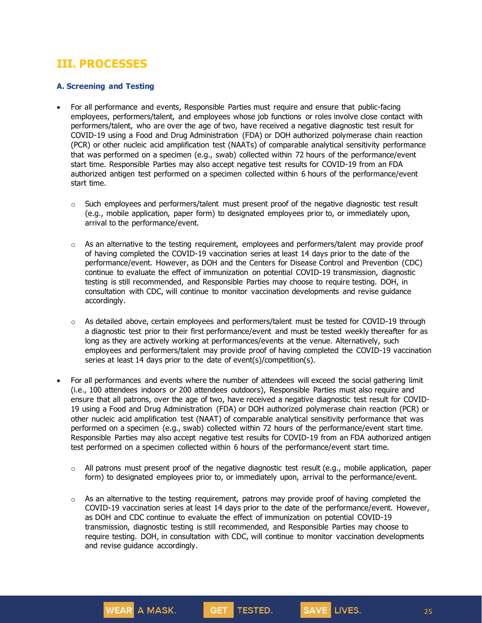# **III. PROCESSES**

### **A. Screening and Testing**

- For all performance and events, Responsible Parties must require and ensure that public-facing employees, performers/talent, and employees whose job functions or roles involve close contact with performers/talent, who are over the age of two, have received a negative diagnostic test result for COVID-19 using a Food and Drug Administration (FDA) or DOH authorized polymerase chain reaction (PCR) or other nucleic acid amplification test (NAATs) of comparable analytical sensitivity performance that was performed on a specimen (e.g., swab) collected within 72 hours of the performance/event start time. Responsible Parties may also accept negative test results for COVID-19 from an FDA authorized antigen test performed on a specimen collected within 6 hours of the performance/event start time.
	- $\circ$  Such employees and performers/talent must present proof of the negative diagnostic test result (e.g., mobile application, paper form) to designated employees prior to, or immediately upon, arrival to the performance/event.
	- $\circ$  As an alternative to the testing requirement, employees and performers/talent may provide proof of having completed the COVID-19 vaccination series at least 14 days prior to the date of the performance/event. However, as DOH and the Centers for Disease Control and Prevention (CDC) continue to evaluate the effect of immunization on potential COVID-19 transmission, diagnostic testing is still recommended, and Responsible Parties may choose to require testing. DOH, in consultation with CDC, will continue to monitor vaccination developments and revise guidance accordingly.
	- $\circ$  As detailed above, certain employees and performers/talent must be tested for COVID-19 through a diagnostic test prior to their first performance/event and must be tested weekly thereafter for as long as they are actively working at performances/events at the venue. Alternatively, such employees and performers/talent may provide proof of having completed the COVID-19 vaccination series at least 14 days prior to the date of event(s)/competition(s).
- For all performances and events where the number of attendees will exceed the social gathering limit (i.e., 100 attendees indoors or 200 attendees outdoors), Responsible Parties must also require and ensure that all patrons, over the age of two, have received a negative diagnostic test result for COVID-19 using a Food and Drug Administration (FDA) or DOH authorized polymerase chain reaction (PCR) or other nucleic acid amplification test (NAAT) of comparable analytical sensitivity performance that was performed on a specimen (e.g., swab) collected within 72 hours of the performance/event start time. Responsible Parties may also accept negative test results for COVID-19 from an FDA authorized antigen test performed on a specimen collected within 6 hours of the performance/event start time.
	- $\circ$  All patrons must present proof of the negative diagnostic test result (e.g., mobile application, paper form) to designated employees prior to, or immediately upon, arrival to the performance/event.
	- $\circ$  As an alternative to the testing requirement, patrons may provide proof of having completed the COVID-19 vaccination series at least 14 days prior to the date of the performance/event. However, as DOH and CDC continue to evaluate the effect of immunization on potential COVID-19 transmission, diagnostic testing is still recommended, and Responsible Parties may choose to require testing. DOH, in consultation with CDC, will continue to monitor vaccination developments and revise guidance accordingly.

**TESTED.** 

**GET** 

**WEAR** A MASK.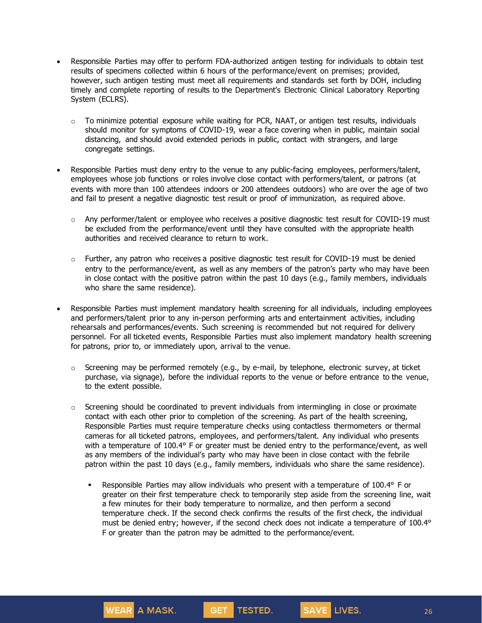- Responsible Parties may offer to perform FDA-authorized antigen testing for individuals to obtain test results of specimens collected within 6 hours of the performance/event on premises; provided, however, such antigen testing must meet all requirements and standards set forth by DOH, including timely and complete reporting of results to the Department's Electronic Clinical Laboratory Reporting System (ECLRS).
	- $\circ$  To minimize potential exposure while waiting for PCR, NAAT, or antigen test results, individuals should monitor for symptoms of COVID-19, wear a face covering when in public, maintain social distancing, and should avoid extended periods in public, contact with strangers, and large congregate settings.
- Responsible Parties must deny entry to the venue to any public-facing employees, performers/talent, employees whose job functions or roles involve close contact with performers/talent, or patrons (at events with more than 100 attendees indoors or 200 attendees outdoors) who are over the age of two and fail to present a negative diagnostic test result or proof of immunization, as required above.
	- $\circ$  Any performer/talent or employee who receives a positive diagnostic test result for COVID-19 must be excluded from the performance/event until they have consulted with the appropriate health authorities and received clearance to return to work.
	- $\circ$  Further, any patron who receives a positive diagnostic test result for COVID-19 must be denied entry to the performance/event, as well as any members of the patron's party who may have been in close contact with the positive patron within the past 10 days (e.g., family members, individuals who share the same residence).
- Responsible Parties must implement mandatory health screening for all individuals, including employees and performers/talent prior to any in-person performing arts and entertainment activities, including rehearsals and performances/events. Such screening is recommended but not required for delivery personnel. For all ticketed events, Responsible Parties must also implement mandatory health screening for patrons, prior to, or immediately upon, arrival to the venue.
	- $\circ$  Screening may be performed remotely (e.g., by e-mail, by telephone, electronic survey, at ticket purchase, via signage), before the individual reports to the venue or before entrance to the venue, to the extent possible.
	- $\circ$  Screening should be coordinated to prevent individuals from intermingling in close or proximate contact with each other prior to completion of the screening. As part of the health screening, Responsible Parties must require temperature checks using contactless thermometers or thermal cameras for all ticketed patrons, employees, and performers/talent. Any individual who presents with a temperature of 100.4° F or greater must be denied entry to the performance/event, as well as any members of the individual's party who may have been in close contact with the febrile patron within the past 10 days (e.g., family members, individuals who share the same residence).
		- Responsible Parties may allow individuals who present with a temperature of 100.4° F or greater on their first temperature check to temporarily step aside from the screening line, wait a few minutes for their body temperature to normalize, and then perform a second temperature check. If the second check confirms the results of the first check, the individual must be denied entry; however, if the second check does not indicate a temperature of 100.4° F or greater than the patron may be admitted to the performance/event.

SAVE LIVES.

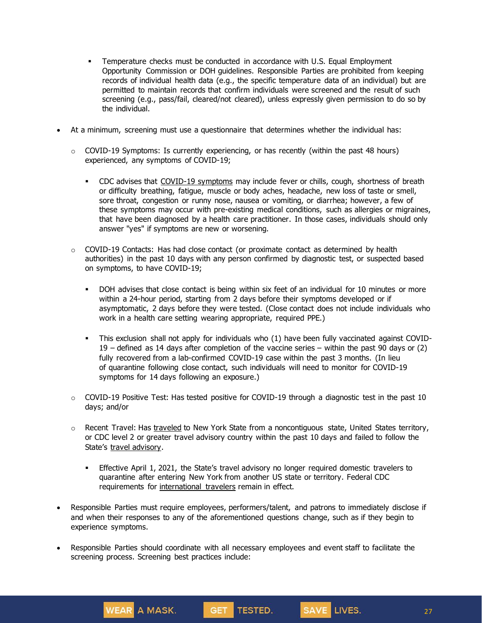- Temperature checks must be conducted in accordance with U.S. Equal Employment Opportunity Commission or DOH guidelines. Responsible Parties are prohibited from keeping records of individual health data (e.g., the specific temperature data of an individual) but are permitted to maintain records that confirm individuals were screened and the result of such screening (e.g., pass/fail, cleared/not cleared), unless expressly given permission to do so by the individual.
- At a minimum, screening must use a questionnaire that determines whether the individual has:
	- $\circ$  COVID-19 Symptoms: Is currently experiencing, or has recently (within the past 48 hours) experienced, any symptoms of COVID-19;
		- **•** CDC advises that COVID-19 [symptoms](https://www.cdc.gov/coronavirus/2019-ncov/symptoms-testing/symptoms.html) may include fever or chills, cough, shortness of breath or difficulty breathing, fatigue, muscle or body aches, headache, new loss of taste or smell, sore throat, congestion or runny nose, nausea or vomiting, or diarrhea; however, a few of these symptoms may occur with pre-existing medical conditions, such as allergies or migraines, that have been diagnosed by a health care practitioner. In those cases, individuals should only answer "yes" if symptoms are new or worsening.
	- $\circ$  COVID-19 Contacts: Has had close contact (or proximate contact as determined by health authorities) in the past 10 days with any person confirmed by diagnostic test, or suspected based on symptoms, to have COVID-19;
		- DOH advises that close contact is being within six feet of an individual for 10 minutes or more within a 24-hour period, starting from 2 days before their symptoms developed or if asymptomatic, 2 days before they were tested. (Close contact does not include individuals who work in a health care setting wearing appropriate, required PPE.)
		- This exclusion shall not apply for individuals who (1) have been fully vaccinated against COVID-19 – defined as 14 days after completion of the vaccine series – within the past 90 days or (2) fully recovered from a lab-confirmed COVID-19 case within the past 3 months. (In lieu of quarantine following close contact, such individuals will need to monitor for COVID-19 symptoms for 14 days following an exposure.)
	- o COVID-19 Positive Test: Has tested positive for COVID-19 through a diagnostic test in the past 10 days; and/or
	- $\circ$  Recent Travel: Has [traveled](https://coronavirus.health.ny.gov/covid-19-travel-advisory) to New York State from a noncontiguous state, United States territory, or CDC level 2 or greater travel advisory country within the past 10 days and failed to follow the State's travel [advisory.](https://coronavirus.health.ny.gov/covid-19-travel-advisory)
		- **Effective April 1, 2021, the State's travel advisory no longer required domestic travelers to** quarantine after entering New York from another US state or territory. Federal CDC requirements for [international](https://www.cdc.gov/coronavirus/2019-ncov/travelers/testing-international-air-travelers.html) travelers remain in effect.
- Responsible Parties must require employees, performers/talent, and patrons to immediately disclose if and when their responses to any of the aforementioned questions change, such as if they begin to experience symptoms.
- Responsible Parties should coordinate with all necessary employees and event staff to facilitate the screening process. Screening best practices include:

**WEAR A MASK.**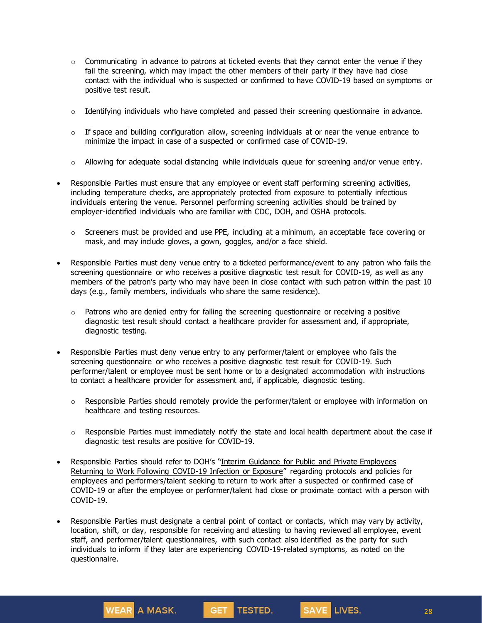- $\circ$  Communicating in advance to patrons at ticketed events that they cannot enter the venue if they fail the screening, which may impact the other members of their party if they have had close contact with the individual who is suspected or confirmed to have COVID-19 based on symptoms or positive test result.
- $\circ$  Identifying individuals who have completed and passed their screening questionnaire in advance.
- $\circ$  If space and building configuration allow, screening individuals at or near the venue entrance to minimize the impact in case of a suspected or confirmed case of COVID-19.
- $\circ$  Allowing for adequate social distancing while individuals queue for screening and/or venue entry.
- Responsible Parties must ensure that any employee or event staff performing screening activities, including temperature checks, are appropriately protected from exposure to potentially infectious individuals entering the venue. Personnel performing screening activities should be trained by employer-identified individuals who are familiar with CDC, DOH, and OSHA protocols.
	- $\circ$  Screeners must be provided and use PPE, including at a minimum, an acceptable face covering or mask, and may include gloves, a gown, goggles, and/or a face shield.
- Responsible Parties must deny venue entry to a ticketed performance/event to any patron who fails the screening questionnaire or who receives a positive diagnostic test result for COVID-19, as well as any members of the patron's party who may have been in close contact with such patron within the past 10 days (e.g., family members, individuals who share the same residence).
	- $\circ$  Patrons who are denied entry for failing the screening questionnaire or receiving a positive diagnostic test result should contact a healthcare provider for assessment and, if appropriate, diagnostic testing.
- Responsible Parties must deny venue entry to any performer/talent or employee who fails the screening questionnaire or who receives a positive diagnostic test result for COVID-19. Such performer/talent or employee must be sent home or to a designated accommodation with instructions to contact a healthcare provider for assessment and, if applicable, diagnostic testing.
	- $\circ$  Responsible Parties should remotely provide the performer/talent or employee with information on healthcare and testing resources.
	- $\circ$  Responsible Parties must immediately notify the state and local health department about the case if diagnostic test results are positive for COVID-19.
- Responsible Parties should refer to DOH's "Interim Guidance for Public and Private [Employees](https://coronavirus.health.ny.gov/system/files/documents/2020/06/doh_covid19_publicprivateemployeereturntowork_053120.pdf) Returning to Work Following [COVID-19](https://coronavirus.health.ny.gov/system/files/documents/2020/06/doh_covid19_publicprivateemployeereturntowork_053120.pdf) Infection or Exposure" regarding protocols and policies for employees and performers/talent seeking to return to work after a suspected or confirmed case of COVID-19 or after the employee or performer/talent had close or proximate contact with a person with COVID-19.
- Responsible Parties must designate a central point of contact or contacts, which may vary by activity, location, shift, or day, responsible for receiving and attesting to having reviewed all employee, event staff, and performer/talent questionnaires, with such contact also identified as the party for such individuals to inform if they later are experiencing COVID-19-related symptoms, as noted on the questionnaire.

SAVE LIVES.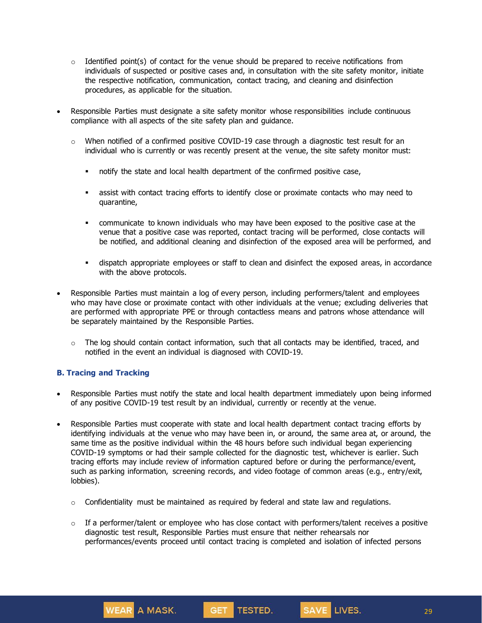- $\circ$  Identified point(s) of contact for the venue should be prepared to receive notifications from individuals of suspected or positive cases and, in consultation with the site safety monitor, initiate the respective notification, communication, contact tracing, and cleaning and disinfection procedures, as applicable for the situation.
- Responsible Parties must designate a site safety monitor whose responsibilities include continuous compliance with all aspects of the site safety plan and guidance.
	- $\circ$  When notified of a confirmed positive COVID-19 case through a diagnostic test result for an individual who is currently or was recently present at the venue, the site safety monitor must:
		- notify the state and local health department of the confirmed positive case,
		- assist with contact tracing efforts to identify close or proximate contacts who may need to quarantine,
		- communicate to known individuals who may have been exposed to the positive case at the venue that a positive case was reported, contact tracing will be performed, close contacts will be notified, and additional cleaning and disinfection of the exposed area will be performed, and
		- dispatch appropriate employees or staff to clean and disinfect the exposed areas, in accordance with the above protocols.
- Responsible Parties must maintain a log of every person, including performers/talent and employees who may have close or proximate contact with other individuals at the venue; excluding deliveries that are performed with appropriate PPE or through contactless means and patrons whose attendance will be separately maintained by the Responsible Parties.
	- $\circ$  The log should contain contact information, such that all contacts may be identified, traced, and notified in the event an individual is diagnosed with COVID-19.

### **B. Tracing and Tracking**

- Responsible Parties must notify the state and local health department immediately upon being informed of any positive COVID-19 test result by an individual, currently or recently at the venue.
- Responsible Parties must cooperate with state and local health department contact tracing efforts by identifying individuals at the venue who may have been in, or around, the same area at, or around, the same time as the positive individual within the 48 hours before such individual began experiencing COVID-19 symptoms or had their sample collected for the diagnostic test, whichever is earlier. Such tracing efforts may include review of information captured before or during the performance/event, such as parking information, screening records, and video footage of common areas (e.g., entry/exit, lobbies).
	- $\circ$  Confidentiality must be maintained as required by federal and state law and regulations.
	- $\circ$  If a performer/talent or employee who has close contact with performers/talent receives a positive diagnostic test result, Responsible Parties must ensure that neither rehearsals nor performances/events proceed until contact tracing is completed and isolation of infected persons

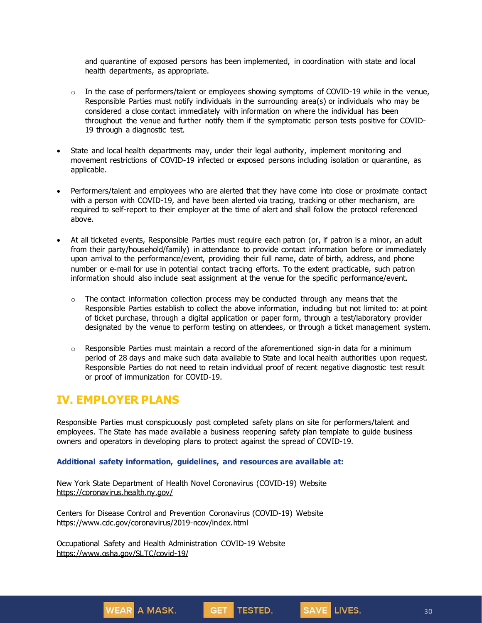and quarantine of exposed persons has been implemented, in coordination with state and local health departments, as appropriate.

- $\circ$  In the case of performers/talent or employees showing symptoms of COVID-19 while in the venue, Responsible Parties must notify individuals in the surrounding area(s) or individuals who may be considered a close contact immediately with information on where the individual has been throughout the venue and further notify them if the symptomatic person tests positive for COVID-19 through a diagnostic test.
- State and local health departments may, under their legal authority, implement monitoring and movement restrictions of COVID-19 infected or exposed persons including isolation or quarantine, as applicable.
- Performers/talent and employees who are alerted that they have come into close or proximate contact with a person with COVID-19, and have been alerted via tracing, tracking or other mechanism, are required to self-report to their employer at the time of alert and shall follow the protocol referenced above.
- At all ticketed events, Responsible Parties must require each patron (or, if patron is a minor, an adult from their party/household/family) in attendance to provide contact information before or immediately upon arrival to the performance/event, providing their full name, date of birth, address, and phone number or e-mail for use in potential contact tracing efforts. To the extent practicable, such patron information should also include seat assignment at the venue for the specific performance/event.
	- $\circ$  The contact information collection process may be conducted through any means that the Responsible Parties establish to collect the above information, including but not limited to: at point of ticket purchase, through a digital application or paper form, through a test/laboratory provider designated by the venue to perform testing on attendees, or through a ticket management system.
	- $\circ$  Responsible Parties must maintain a record of the aforementioned sign-in data for a minimum period of 28 days and make such data available to State and local health authorities upon request. Responsible Parties do not need to retain individual proof of recent negative diagnostic test result or proof of immunization for COVID-19.

## **IV. EMPLOYER PLANS**

Responsible Parties must conspicuously post completed safety plans on site for performers/talent and employees. The State has made available a business reopening safety plan template to guide business owners and operators in developing plans to protect against the spread of COVID-19.

GET TESTED.

SAVE LIVES.

#### **Additional safety information, guidelines, and resources are available at:**

New York State Department of Health Novel Coronavirus (COVID-19) Website <https://coronavirus.health.ny.gov/>

Centers for Disease Control and Prevention Coronavirus (COVID-19) Website <https://www.cdc.gov/coronavirus/2019-ncov/index.html>

Occupational Safety and Health Administration COVID-19 Website <https://www.osha.gov/SLTC/covid-19/>